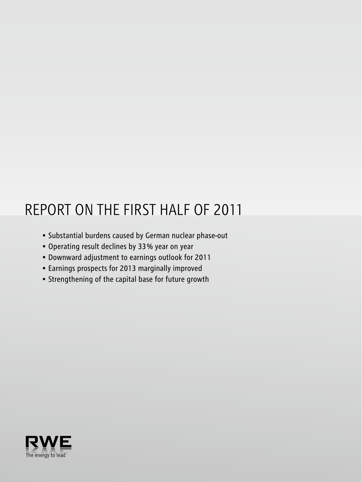# REPORT ON THE FIRST HALF OF 2011

- • Substantial burdens caused by German nuclear phase-out
- • Operating result declines by 33 % year on year
- • Downward adjustment to earnings outlook for 2011
- • Earnings prospects for 2013 marginally improved
- • Strengthening of the capital base for future growth

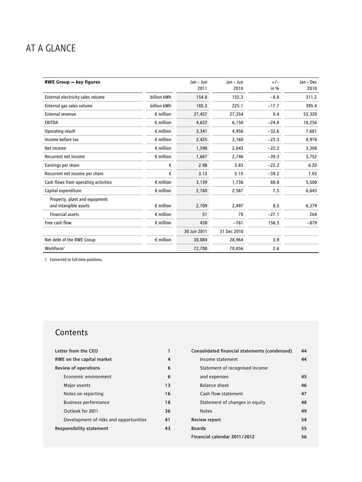## AT A GLANCE

| <b>RWE Group - key figures</b>       |                    | Jan - Jun   | Jan - Jun   | $+/-$   | Jan - Dec |
|--------------------------------------|--------------------|-------------|-------------|---------|-----------|
|                                      |                    | 2011        | 2010        | in %    | 2010      |
| External electricity sales volume    | billion kWh        | 154.0       | 155.3       | $-0.8$  | 311.2     |
| External gas sales volume            | billion kWh        | 185.3       | 225.1       | $-17.7$ | 395.4     |
| <b>External revenue</b>              | $\epsilon$ million | 27,457      | 27,354      | 0.4     | 53,320    |
| <b>EBITDA</b>                        | $\epsilon$ million | 4,622       | 6,150       | $-24.8$ | 10,256    |
| Operating result                     | $\epsilon$ million | 3,341       | 4,956       | $-32.6$ | 7,681     |
| Income before tax                    | $\epsilon$ million | 2,425       | 3,160       | $-23.3$ | 4,978     |
| Net income                           | $\epsilon$ million | 1,590       | 2,043       | $-22.2$ | 3,308     |
| Recurrent net income                 | $\epsilon$ million | 1,667       | 2,746       | $-39.3$ | 3,752     |
| Earnings per share                   | €                  | 2.98        | 3.83        | $-22.2$ | 6.20      |
| Recurrent net income per share       | €                  | 3.13        | 5.15        | $-39.2$ | 7.03      |
| Cash flows from operating activities | $\epsilon$ million | 3,139       | 1,736       | 80.8    | 5,500     |
| Capital expenditure                  | $\epsilon$ million | 2,760       | 2,567       | 7.5     | 6,643     |
| Property, plant and equipment        |                    |             |             |         |           |
| and intangible assets                | $\epsilon$ million | 2,709       | 2,497       | 8.5     | 6,379     |
| <b>Financial assets</b>              | $\epsilon$ million | 51          | 70          | $-27.1$ | 264       |
| Free cash flow                       | $\epsilon$ million | 430         | $-761$      | 156.5   | $-879$    |
|                                      |                    | 30 Jun 2011 | 31 Dec 2010 |         |           |
| Net debt of the RWE Group            | $\epsilon$ million | 30,084      | 28,964      | 3.9     |           |
| Workforce <sup>1</sup>               |                    | 72,700      | 70,856      | 2.6     |           |

1 Converted to full-time positions.

## **Contents**

| Letter from the CFO                    |    |
|----------------------------------------|----|
| RWE on the capital market              | 4  |
| Review of operations                   | 6  |
| Economic environment                   | 6  |
| Major events                           | 13 |
| Notes on reporting                     | 16 |
| <b>Business performance</b>            | 18 |
| Outlook for 2011                       | 36 |
| Development of risks and opportunities | 41 |
| <b>Responsibility statement</b>        | 43 |

| Consolidated financial statements (condensed) | 44 |
|-----------------------------------------------|----|
| Income statement                              | 44 |
| Statement of recognised income                |    |
| and expenses                                  | 45 |
| Balance sheet                                 | 46 |
| Cash flow statement                           | 47 |
| Statement of changes in equity                | 48 |
| <b>Notes</b>                                  | 49 |
| <b>Review report</b>                          | 54 |
| <b>Boards</b>                                 | 55 |
| Financial calendar 2011/2012                  | 56 |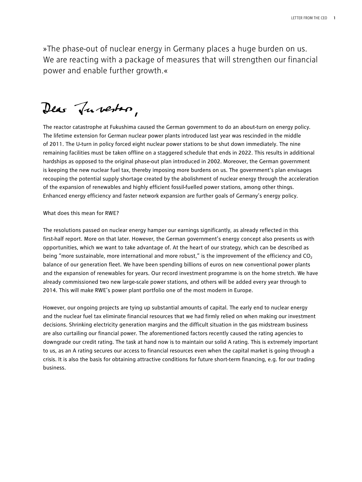»The phase-out of nuclear energy in Germany places a huge burden on us. We are reacting with a package of measures that will strengthen our financial power and enable further growth.«

Dear Tuberton,

The reactor catastrophe at Fukushima caused the German government to do an about-turn on energy policy. The lifetime extension for German nuclear power plants introduced last year was rescinded in the middle of 2011. The U-turn in policy forced eight nuclear power stations to be shut down immediately. The nine remaining facilities must be taken offline on a staggered schedule that ends in 2022. This results in additional hardships as opposed to the original phase-out plan introduced in 2002. Moreover, the German government is keeping the new nuclear fuel tax, thereby imposing more burdens on us. The government's plan envisages recouping the potential supply shortage created by the abolishment of nuclear energy through the acceleration of the expansion of renewables and highly efficient fossil-fuelled power stations, among other things. Enhanced energy efficiency and faster network expansion are further goals of Germany's energy policy.

#### What does this mean for RWE?

The resolutions passed on nuclear energy hamper our earnings significantly, as already reflected in this first-half report. More on that later. However, the German government's energy concept also presents us with opportunities, which we want to take advantage of. At the heart of our strategy, which can be described as being "more sustainable, more international and more robust," is the improvement of the efficiency and  $CO<sub>2</sub>$ balance of our generation fleet. We have been spending billions of euros on new conventional power plants and the expansion of renewables for years. Our record investment programme is on the home stretch. We have already commissioned two new large-scale power stations, and others will be added every year through to 2014. This will make RWE's power plant portfolio one of the most modern in Europe.

However, our ongoing projects are tying up substantial amounts of capital. The early end to nuclear energy and the nuclear fuel tax eliminate financial resources that we had firmly relied on when making our investment decisions. Shrinking electricity generation margins and the difficult situation in the gas midstream business are also curtailing our financial power. The aforementioned factors recently caused the rating agencies to downgrade our credit rating. The task at hand now is to maintain our solid A rating. This is extremely important to us, as an A rating secures our access to financial resources even when the capital market is going through a crisis. It is also the basis for obtaining attractive conditions for future short-term financing, e.g. for our trading business.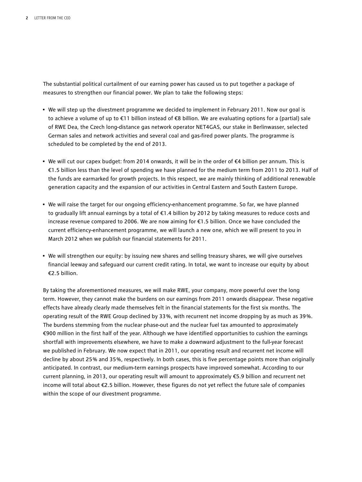The substantial political curtailment of our earning power has caused us to put together a package of measures to strengthen our financial power. We plan to take the following steps:

- We will step up the divestment programme we decided to implement in February 2011. Now our goal is to achieve a volume of up to €11 billion instead of €8 billion. We are evaluating options for a (partial) sale of RWE Dea, the Czech long-distance gas network operator NET4GAS, our stake in Berlinwasser, selected German sales and network activities and several coal and gas-fired power plants. The programme is scheduled to be completed by the end of 2013.
- We will cut our capex budget: from 2014 onwards, it will be in the order of €4 billion per annum. This is €1.5 billion less than the level of spending we have planned for the medium term from 2011 to 2013. Half of the funds are earmarked for growth projects. In this respect, we are mainly thinking of additional renewable generation capacity and the expansion of our activities in Central Eastern and South Eastern Europe.
- We will raise the target for our ongoing efficiency-enhancement programme. So far, we have planned to gradually lift annual earnings by a total of €1.4 billion by 2012 by taking measures to reduce costs and increase revenue compared to 2006. We are now aiming for €1.5 billion. Once we have concluded the current efficiency-enhancement programme, we will launch a new one, which we will present to you in March 2012 when we publish our financial statements for 2011.
- We will strengthen our equity: by issuing new shares and selling treasury shares, we will give ourselves financial leeway and safeguard our current credit rating. In total, we want to increase our equity by about €2.5 billion.

By taking the aforementioned measures, we will make RWE, your company, more powerful over the long term. However, they cannot make the burdens on our earnings from 2011 onwards disappear. These negative effects have already clearly made themselves felt in the financial statements for the first six months. The operating result of the RWE Group declined by 33 %, with recurrent net income dropping by as much as 39 %. The burdens stemming from the nuclear phase-out and the nuclear fuel tax amounted to approximately €900 million in the first half of the year. Although we have identified opportunities to cushion the earnings shortfall with improvements elsewhere, we have to make a downward adjustment to the full-year forecast we published in February. We now expect that in 2011, our operating result and recurrent net income will decline by about 25 % and 35 %, respectively. In both cases, this is five percentage points more than originally anticipated. In contrast, our medium-term earnings prospects have improved somewhat. According to our current planning, in 2013, our operating result will amount to approximately €5.9 billion and recurrent net income will total about €2.5 billion. However, these figures do not yet reflect the future sale of companies within the scope of our divestment programme.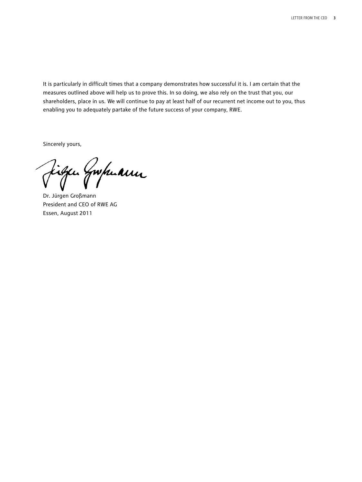It is particularly in difficult times that a company demonstrates how successful it is. I am certain that the measures outlined above will help us to prove this. In so doing, we also rely on the trust that you, our shareholders, place in us. We will continue to pay at least half of our recurrent net income out to you, thus enabling you to adequately partake of the future success of your company, RWE.

Sincerely yours,

Dr. Jürgen Großmann

President and CEO of RWE AG Essen, August 2011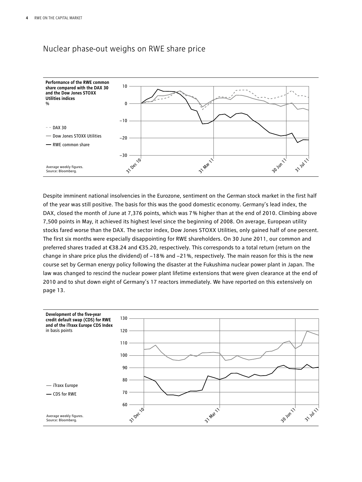### Nuclear phase-out weighs on RWE share price



Despite imminent national insolvencies in the Eurozone, sentiment on the German stock market in the first half of the year was still positive. The basis for this was the good domestic economy. Germany's lead index, the DAX, closed the month of June at 7,376 points, which was 7 % higher than at the end of 2010. Climbing above 7,500 points in May, it achieved its highest level since the beginning of 2008. On average, European utility stocks fared worse than the DAX. The sector index, Dow Jones STOXX Utilities, only gained half of one percent. The first six months were especially disappointing for RWE shareholders. On 30 June 2011, our common and preferred shares traded at €38.24 and €35.20, respectively. This corresponds to a total return (return on the change in share price plus the dividend) of −18 % and −21 %, respectively. The main reason for this is the new course set by German energy policy following the disaster at the Fukushima nuclear power plant in Japan. The law was changed to rescind the nuclear power plant lifetime extensions that were given clearance at the end of 2010 and to shut down eight of Germany's 17 reactors immediately. We have reported on this extensively on page 13.

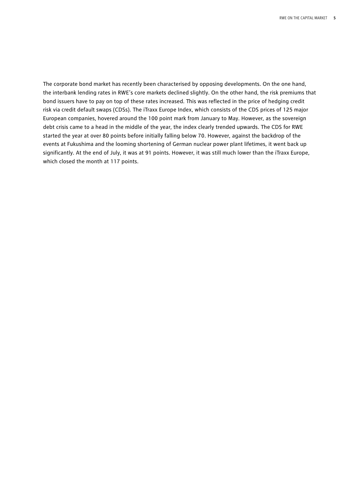The corporate bond market has recently been characterised by opposing developments. On the one hand, the interbank lending rates in RWE's core markets declined slightly. On the other hand, the risk premiums that bond issuers have to pay on top of these rates increased. This was reflected in the price of hedging credit risk via credit default swaps (CDSs). The iTraxx Europe Index, which consists of the CDS prices of 125 major European companies, hovered around the 100 point mark from January to May. However, as the sovereign debt crisis came to a head in the middle of the year, the index clearly trended upwards. The CDS for RWE started the year at over 80 points before initially falling below 70. However, against the backdrop of the events at Fukushima and the looming shortening of German nuclear power plant lifetimes, it went back up significantly. At the end of July, it was at 91 points. However, it was still much lower than the iTraxx Europe, which closed the month at 117 points.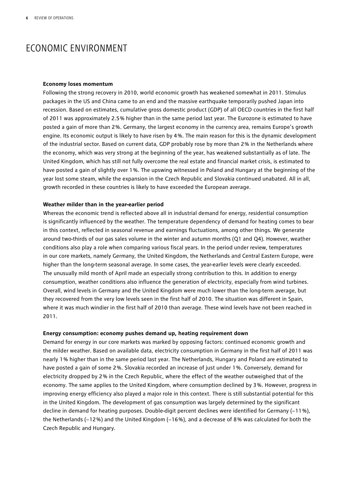## ECONOMIC ENVIRONMENT

#### **Economy loses momentum**

Following the strong recovery in 2010, world economic growth has weakened somewhat in 2011. Stimulus packages in the US and China came to an end and the massive earthquake temporarily pushed Japan into recession. Based on estimates, cumulative gross domestic product (GDP) of all OECD countries in the first half of 2011 was approximately 2.5 % higher than in the same period last year. The Eurozone is estimated to have posted a gain of more than 2 %. Germany, the largest economy in the currency area, remains Europe's growth engine. Its economic output is likely to have risen by 4 %. The main reason for this is the dynamic development of the industrial sector. Based on current data, GDP probably rose by more than 2 % in the Netherlands where the economy, which was very strong at the beginning of the year, has weakened substantially as of late. The United Kingdom, which has still not fully overcome the real estate and financial market crisis, is estimated to have posted a gain of slightly over 1%. The upswing witnessed in Poland and Hungary at the beginning of the year lost some steam, while the expansion in the Czech Republic and Slovakia continued unabated. All in all, growth recorded in these countries is likely to have exceeded the European average.

#### **Weather milder than in the year-earlier period**

Whereas the economic trend is reflected above all in industrial demand for energy, residential consumption is significantly influenced by the weather. The temperature dependency of demand for heating comes to bear in this context, reflected in seasonal revenue and earnings fluctuations, among other things. We generate around two-thirds of our gas sales volume in the winter and autumn months (Q1 and Q4). However, weather conditions also play a role when comparing various fiscal years. In the period under review, temperatures in our core markets, namely Germany, the United Kingdom, the Netherlands and Central Eastern Europe, were higher than the long-term seasonal average. In some cases, the year-earlier levels were clearly exceeded. The unusually mild month of April made an especially strong contribution to this. In addition to energy consumption, weather conditions also influence the generation of electricity, especially from wind turbines. Overall, wind levels in Germany and the United Kingdom were much lower than the long-term average, but they recovered from the very low levels seen in the first half of 2010. The situation was different in Spain, where it was much windier in the first half of 2010 than average. These wind levels have not been reached in 2011.

#### **Energy consumption: economy pushes demand up, heating requirement down**

Demand for energy in our core markets was marked by opposing factors: continued economic growth and the milder weather. Based on available data, electricity consumption in Germany in the first half of 2011 was nearly 1 % higher than in the same period last year. The Netherlands, Hungary and Poland are estimated to have posted a gain of some 2 %. Slovakia recorded an increase of just under 1 %. Conversely, demand for electricity dropped by 2 % in the Czech Republic, where the effect of the weather outweighed that of the economy. The same applies to the United Kingdom, where consumption declined by 3 %. However, progress in improving energy efficiency also played a major role in this context. There is still substantial potential for this in the United Kingdom. The development of gas consumption was largely determined by the significant decline in demand for heating purposes. Double-digit percent declines were identified for Germany (−11 %), the Netherlands (−12 %) and the United Kingdom (−16 %), and a decrease of 8 % was calculated for both the Czech Republic and Hungary.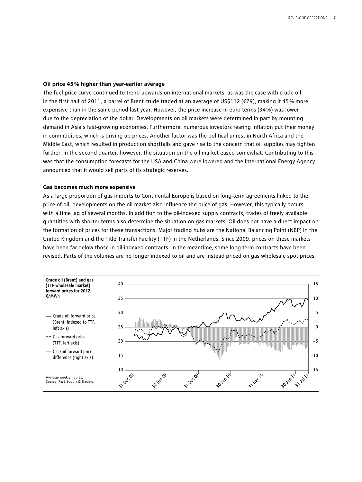#### **Oil price 45 % higher than year-earlier average**

The fuel price curve continued to trend upwards on international markets, as was the case with crude oil. In the first half of 2011, a barrel of Brent crude traded at an average of US\$112 (€79), making it 45 % more expensive than in the same period last year. However, the price increase in euro terms (34 %) was lower due to the depreciation of the dollar. Developments on oil markets were determined in part by mounting demand in Asia's fast-growing economies. Furthermore, numerous investors fearing inflation put their money in commodities, which is driving up prices. Another factor was the political unrest in North Africa and the Middle East, which resulted in production shortfalls and gave rise to the concern that oil supplies may tighten further. In the second quarter, however, the situation on the oil market eased somewhat. Contributing to this was that the consumption forecasts for the USA and China were lowered and the International Energy Agency announced that it would sell parts of its strategic reserves.

#### **Gas becomes much more expensive**

As a large proportion of gas imports to Continental Europe is based on long-term agreements linked to the price of oil, developments on the oil market also influence the price of gas. However, this typically occurs with a time lag of several months. In addition to the oil-indexed supply contracts, trades of freely available quantities with shorter terms also determine the situation on gas markets. Oil does not have a direct impact on the formation of prices for these transactions. Major trading hubs are the National Balancing Point (NBP) in the United Kingdom and the Title Transfer Facility (TTF) in the Netherlands. Since 2009, prices on these markets have been far below those in oil-indexed contracts. In the meantime, some long-term contracts have been revised. Parts of the volumes are no longer indexed to oil and are instead priced on gas wholesale spot prices.

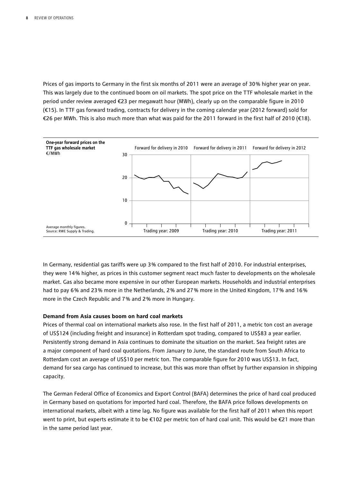Prices of gas imports to Germany in the first six months of 2011 were an average of 30% higher year on year. This was largely due to the continued boom on oil markets. The spot price on the TTF wholesale market in the period under review averaged €23 per megawatt hour (MWh), clearly up on the comparable figure in 2010 (€15). In TTF gas forward trading, contracts for delivery in the coming calendar year (2012 forward) sold for €26 per MWh. This is also much more than what was paid for the 2011 forward in the first half of 2010 (€18).



In Germany, residential gas tariffs were up 3 % compared to the first half of 2010. For industrial enterprises, they were 14 % higher, as prices in this customer segment react much faster to developments on the wholesale market. Gas also became more expensive in our other European markets. Households and industrial enterprises had to pay 6% and 23% more in the Netherlands, 2% and 27% more in the United Kingdom, 17% and 16% more in the Czech Republic and 7 % and 2 % more in Hungary.

#### **Demand from Asia causes boom on hard coal markets**

Prices of thermal coal on international markets also rose. In the first half of 2011, a metric ton cost an average of US\$124 (including freight and insurance) in Rotterdam spot trading, compared to US\$83 a year earlier. Persistently strong demand in Asia continues to dominate the situation on the market. Sea freight rates are a major component of hard coal quotations. From January to June, the standard route from South Africa to Rotterdam cost an average of US\$10 per metric ton. The comparable figure for 2010 was US\$13. In fact, demand for sea cargo has continued to increase, but this was more than offset by further expansion in shipping capacity.

The German Federal Office of Economics and Export Control (BAFA) determines the price of hard coal produced in Germany based on quotations for imported hard coal. Therefore, the BAFA price follows developments on international markets, albeit with a time lag. No figure was available for the first half of 2011 when this report went to print, but experts estimate it to be €102 per metric ton of hard coal unit. This would be €21 more than in the same period last year.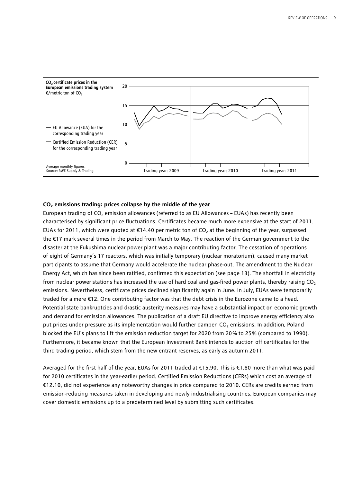

#### **CO2 emissions trading: prices collapse by the middle of the year**

European trading of CO<sub>2</sub> emission allowances (referred to as EU Allowances – EUAs) has recently been characterised by significant price fluctuations. Certificates became much more expensive at the start of 2011. EUAs for 2011, which were quoted at  $\epsilon$ 14.40 per metric ton of CO<sub>2</sub> at the beginning of the year, surpassed the €17 mark several times in the period from March to May. The reaction of the German government to the disaster at the Fukushima nuclear power plant was a major contributing factor. The cessation of operations of eight of Germany's 17 reactors, which was initially temporary (nuclear moratorium), caused many market participants to assume that Germany would accelerate the nuclear phase-out. The amendment to the Nuclear Energy Act, which has since been ratified, confirmed this expectation (see page 13). The shortfall in electricity from nuclear power stations has increased the use of hard coal and gas-fired power plants, thereby raising CO<sub>2</sub> emissions. Nevertheless, certificate prices declined significantly again in June. In July, EUAs were temporarily traded for a mere €12. One contributing factor was that the debt crisis in the Eurozone came to a head. Potential state bankruptcies and drastic austerity measures may have a substantial impact on economic growth and demand for emission allowances. The publication of a draft EU directive to improve energy efficiency also put prices under pressure as its implementation would further dampen CO<sub>2</sub> emissions. In addition, Poland blocked the EU's plans to lift the emission reduction target for 2020 from 20 % to 25 % (compared to 1990). Furthermore, it became known that the European Investment Bank intends to auction off certificates for the third trading period, which stem from the new entrant reserves, as early as autumn 2011.

Averaged for the first half of the year, EUAs for 2011 traded at €15.90. This is €1.80 more than what was paid for 2010 certificates in the year-earlier period. Certified Emission Reductions (CERs) which cost an average of €12.10, did not experience any noteworthy changes in price compared to 2010. CERs are credits earned from emission-reducing measures taken in developing and newly industrialising countries. European companies may cover domestic emissions up to a predetermined level by submitting such certificates.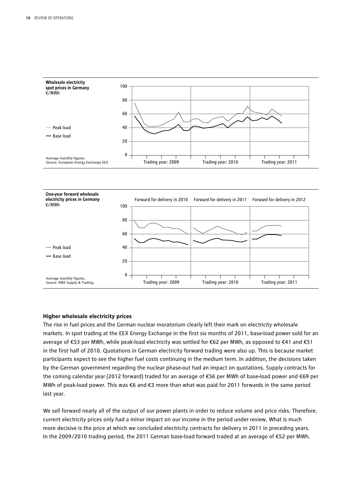

#### **Higher wholesale electricity prices**

The rise in fuel prices and the German nuclear moratorium clearly left their mark on electricity wholesale markets. In spot trading at the EEX Energy Exchange in the first six months of 2011, base-load power sold for an average of €53 per MWh, while peak-load electricity was settled for €62 per MWh, as opposed to €41 and €51 in the first half of 2010. Quotations in German electricity forward trading were also up. This is because market participants expect to see the higher fuel costs continuing in the medium term. In addition, the decisions taken by the German government regarding the nuclear phase-out had an impact on quotations. Supply contracts for the coming calendar year (2012 forward) traded for an average of €56 per MWh of base-load power and €69 per MWh of peak-load power. This was €6 and €3 more than what was paid for 2011 forwards in the same period last year.

We sell forward nearly all of the output of our power plants in order to reduce volume and price risks. Therefore, current electricity prices only had a minor impact on our income in the period under review. What is much more decisive is the price at which we concluded electricity contracts for delivery in 2011 in preceding years. In the 2009/2010 trading period, the 2011 German base-load forward traded at an average of €52 per MWh.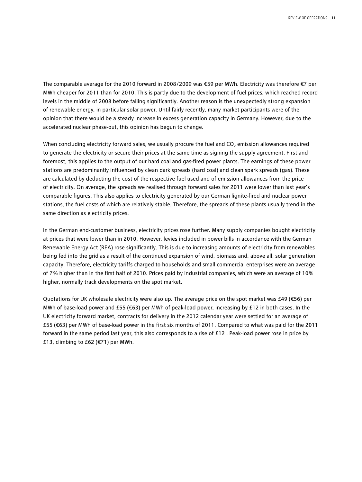The comparable average for the 2010 forward in 2008/2009 was €59 per MWh. Electricity was therefore €7 per MWh cheaper for 2011 than for 2010. This is partly due to the development of fuel prices, which reached record levels in the middle of 2008 before falling significantly. Another reason is the unexpectedly strong expansion of renewable energy, in particular solar power. Until fairly recently, many market participants were of the opinion that there would be a steady increase in excess generation capacity in Germany. However, due to the accelerated nuclear phase-out, this opinion has begun to change.

When concluding electricity forward sales, we usually procure the fuel and  $CO<sub>2</sub>$  emission allowances required to generate the electricity or secure their prices at the same time as signing the supply agreement. First and foremost, this applies to the output of our hard coal and gas-fired power plants. The earnings of these power stations are predominantly influenced by clean dark spreads (hard coal) and clean spark spreads (gas). These are calculated by deducting the cost of the respective fuel used and of emission allowances from the price of electricity. On average, the spreads we realised through forward sales for 2011 were lower than last year's comparable figures. This also applies to electricity generated by our German lignite-fired and nuclear power stations, the fuel costs of which are relatively stable. Therefore, the spreads of these plants usually trend in the same direction as electricity prices.

In the German end-customer business, electricity prices rose further. Many supply companies bought electricity at prices that were lower than in 2010. However, levies included in power bills in accordance with the German Renewable Energy Act (REA) rose significantly. This is due to increasing amounts of electricity from renewables being fed into the grid as a result of the continued expansion of wind, biomass and, above all, solar generation capacity. Therefore, electricity tariffs charged to households and small commercial enterprises were an average of 7 % higher than in the first half of 2010. Prices paid by industrial companies, which were an average of 10 % higher, normally track developments on the spot market.

Quotations for UK wholesale electricity were also up. The average price on the spot market was £49 (€56) per MWh of base-load power and £55 (€63) per MWh of peak-load power, increasing by £12 in both cases. In the UK electricity forward market, contracts for delivery in the 2012 calendar year were settled for an average of £55 (€63) per MWh of base-load power in the first six months of 2011. Compared to what was paid for the 2011 forward in the same period last year, this also corresponds to a rise of £12 . Peak-load power rose in price by £13, climbing to £62 ( $€71$ ) per MWh.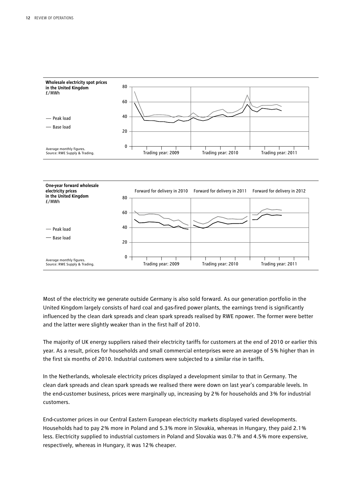

Most of the electricity we generate outside Germany is also sold forward. As our generation portfolio in the United Kingdom largely consists of hard coal and gas-fired power plants, the earnings trend is significantly influenced by the clean dark spreads and clean spark spreads realised by RWE npower. The former were better and the latter were slightly weaker than in the first half of 2010.

The majority of UK energy suppliers raised their electricity tariffs for customers at the end of 2010 or earlier this year. As a result, prices for households and small commercial enterprises were an average of 5 % higher than in the first six months of 2010. Industrial customers were subjected to a similar rise in tariffs.

In the Netherlands, wholesale electricity prices displayed a development similar to that in Germany. The clean dark spreads and clean spark spreads we realised there were down on last year's comparable levels. In the end-customer business, prices were marginally up, increasing by 2 % for households and 3 % for industrial customers.

End-customer prices in our Central Eastern European electricity markets displayed varied developments. Households had to pay 2 % more in Poland and 5.3 % more in Slovakia, whereas in Hungary, they paid 2.1 % less. Electricity supplied to industrial customers in Poland and Slovakia was 0.7 % and 4.5 % more expensive, respectively, whereas in Hungary, it was 12 % cheaper.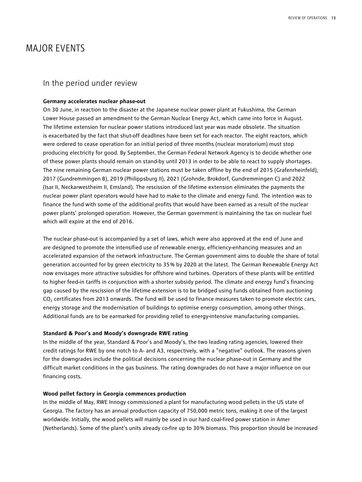## MAJOR EVENTS

### In the period under review

#### **Germany accelerates nuclear phase-out**

On 30 June, in reaction to the disaster at the Japanese nuclear power plant at Fukushima, the German Lower House passed an amendment to the German Nuclear Energy Act, which came into force in August. The lifetime extension for nuclear power stations introduced last year was made obsolete. The situation is exacerbated by the fact that shut-off deadlines have been set for each reactor. The eight reactors, which were ordered to cease operation for an initial period of three months (nuclear moratorium) must stop producing electricity for good. By September, the German Federal Network Agency is to decide whether one of these power plants should remain on stand-by until 2013 in order to be able to react to supply shortages. The nine remaining German nuclear power stations must be taken offline by the end of 2015 (Grafenrheinfeld), 2017 (Gundremmingen B), 2019 (Philippsburg II), 2021 (Grohnde, Brokdorf, Gundremmingen C) and 2022 (Isar II, Neckarwestheim II, Emsland). The rescission of the lifetime extension eliminates the payments the nuclear power plant operators would have had to make to the climate and energy fund. The intention was to finance the fund with some of the additional profits that would have been earned as a result of the nuclear power plants' prolonged operation. However, the German government is maintaining the tax on nuclear fuel which will expire at the end of 2016.

The nuclear phase-out is accompanied by a set of laws, which were also approved at the end of June and are designed to promote the intensified use of renewable energy, efficiency-enhancing measures and an accelerated expansion of the network infrastructure. The German government aims to double the share of total generation accounted for by green electricity to 35 % by 2020 at the latest. The German Renewable Energy Act now envisages more attractive subsidies for offshore wind turbines. Operators of these plants will be entitled to higher feed-in tariffs in conjunction with a shorter subsidy period. The climate and energy fund's financing gap caused by the rescission of the lifetime extension is to be bridged using funds obtained from auctioning CO<sub>2</sub> certificates from 2013 onwards. The fund will be used to finance measures taken to promote electric cars, energy storage and the modernisation of buildings to optimise energy consumption, among other things. Additional funds are to be earmarked for providing relief to energy-intensive manufacturing companies.

#### **Standard & Poor's and Moody's downgrade RWE rating**

In the middle of the year, Standard & Poor's and Moody's, the two leading rating agencies, lowered their credit ratings for RWE by one notch to A- and A3, respectively, with a "negative" outlook. The reasons given for the downgrades include the political decisions concerning the nuclear phase-out in Germany and the difficult market conditions in the gas business. The rating downgrades do not have a major influence on our financing costs.

#### **Wood pellet factory in Georgia commences production**

In the middle of May, RWE Innogy commissioned a plant for manufacturing wood pellets in the US state of Georgia. The factory has an annual production capacity of 750,000 metric tons, making it one of the largest worldwide. Initially, the wood pellets will mainly be used in our hard coal-fired power station in Amer (Netherlands). Some of the plant's units already co-fire up to 30 % biomass. This proportion should be increased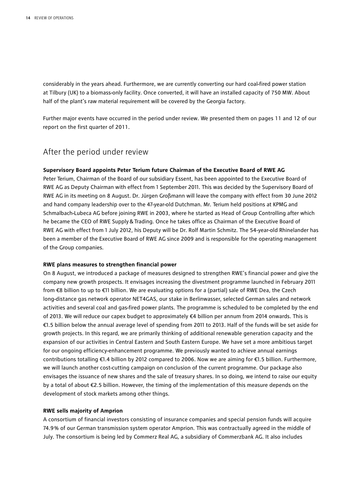considerably in the years ahead. Furthermore, we are currently converting our hard coal-fired power station at Tilbury (UK) to a biomass-only facility. Once converted, it will have an installed capacity of 750 MW. About half of the plant's raw material requirement will be covered by the Georgia factory.

Further major events have occurred in the period under review. We presented them on pages 11 and 12 of our report on the first quarter of 2011.

### After the period under review

#### **Supervisory Board appoints Peter Terium future Chairman of the Executive Board of RWE AG**

Peter Terium, Chairman of the Board of our subsidiary Essent, has been appointed to the Executive Board of RWE AG as Deputy Chairman with effect from 1 September 2011. This was decided by the Supervisory Board of RWE AG in its meeting on 8 August. Dr. Jürgen Großmann will leave the company with effect from 30 June 2012 and hand company leadership over to the 47-year-old Dutchman. Mr. Terium held positions at KPMG and Schmalbach-Lubeca AG before joining RWE in 2003, where he started as Head of Group Controlling after which he became the CEO of RWE Supply&Trading. Once he takes office as Chairman of the Executive Board of RWE AG with effect from 1 July 2012, his Deputy will be Dr. Rolf Martin Schmitz. The 54-year-old Rhinelander has been a member of the Executive Board of RWE AG since 2009 and is responsible for the operating management of the Group companies.

#### **RWE plans measures to strengthen financial power**

On 8 August, we introduced a package of measures designed to strengthen RWE's financial power and give the company new growth prospects. It envisages increasing the divestment programme launched in February 2011 from €8 billion to up to €11 billion. We are evaluating options for a (partial) sale of RWE Dea, the Czech long-distance gas network operator NET4GAS, our stake in Berlinwasser, selected German sales and network activities and several coal and gas-fired power plants. The programme is scheduled to be completed by the end of 2013. We will reduce our capex budget to approximately €4 billion per annum from 2014 onwards. This is €1.5 billion below the annual average level of spending from 2011 to 2013. Half of the funds will be set aside for growth projects. In this regard, we are primarily thinking of additional renewable generation capacity and the expansion of our activities in Central Eastern and South Eastern Europe. We have set a more ambitious target for our ongoing efficiency-enhancement programme. We previously wanted to achieve annual earnings contributions totalling €1.4 billion by 2012 compared to 2006. Now we are aiming for €1.5 billion. Furthermore, we will launch another cost-cutting campaign on conclusion of the current programme. Our package also envisages the issuance of new shares and the sale of treasury shares. In so doing, we intend to raise our equity by a total of about €2.5 billion. However, the timing of the implementation of this measure depends on the development of stock markets among other things.

#### **RWE sells majority of Amprion**

A consortium of financial investors consisting of insurance companies and special pension funds will acquire 74.9 % of our German transmission system operator Amprion. This was contractually agreed in the middle of July. The consortium is being led by Commerz Real AG, a subsidiary of Commerzbank AG. It also includes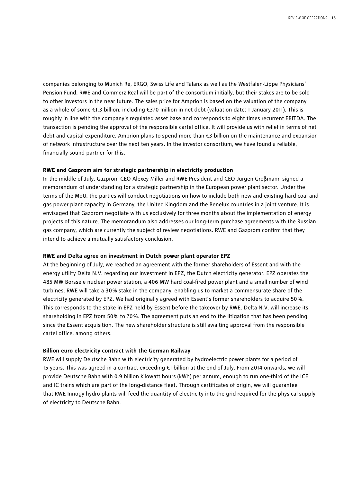companies belonging to Munich Re, ERGO, Swiss Life and Talanx as well as the Westfalen-Lippe Physicians' Pension Fund. RWE and Commerz Real will be part of the consortium initially, but their stakes are to be sold to other investors in the near future. The sales price for Amprion is based on the valuation of the company as a whole of some €1.3 billion, including €370 million in net debt (valuation date: 1 January 2011). This is roughly in line with the company's regulated asset base and corresponds to eight times recurrent EBITDA. The transaction is pending the approval of the responsible cartel office. It will provide us with relief in terms of net debt and capital expenditure. Amprion plans to spend more than €3 billion on the maintenance and expansion of network infrastructure over the next ten years. In the investor consortium, we have found a reliable, financially sound partner for this.

#### **RWE and Gazprom aim for strategic partnership in electricity production**

In the middle of July, Gazprom CEO Alexey Miller and RWE President and CEO Jürgen Großmann signed a memorandum of understanding for a strategic partnership in the European power plant sector. Under the terms of the MoU, the parties will conduct negotiations on how to include both new and existing hard coal and gas power plant capacity in Germany, the United Kingdom and the Benelux countries in a joint venture. It is envisaged that Gazprom negotiate with us exclusively for three months about the implementation of energy projects of this nature. The memorandum also addresses our long-term purchase agreements with the Russian gas company, which are currently the subject of review negotiations. RWE and Gazprom confirm that they intend to achieve a mutually satisfactory conclusion.

#### **RWE and Delta agree on investment in Dutch power plant operator EPZ**

At the beginning of July, we reached an agreement with the former shareholders of Essent and with the energy utility Delta N.V. regarding our investment in EPZ, the Dutch electricity generator. EPZ operates the 485 MW Borssele nuclear power station, a 406 MW hard coal-fired power plant and a small number of wind turbines. RWE will take a 30 % stake in the company, enabling us to market a commensurate share of the electricity generated by EPZ. We had originally agreed with Essent's former shareholders to acquire 50 %. This corresponds to the stake in EPZ held by Essent before the takeover by RWE. Delta N.V. will increase its shareholding in EPZ from 50 % to 70 %. The agreement puts an end to the litigation that has been pending since the Essent acquisition. The new shareholder structure is still awaiting approval from the responsible cartel office, among others.

#### **Billion euro electricity contract with the German Railway**

RWE will supply Deutsche Bahn with electricity generated by hydroelectric power plants for a period of 15 years. This was agreed in a contract exceeding €1 billion at the end of July. From 2014 onwards, we will provide Deutsche Bahn with 0.9 billion kilowatt hours (kWh) per annum, enough to run one-third of the ICE and IC trains which are part of the long-distance fleet. Through certificates of origin, we will guarantee that RWE Innogy hydro plants will feed the quantity of electricity into the grid required for the physical supply of electricity to Deutsche Bahn.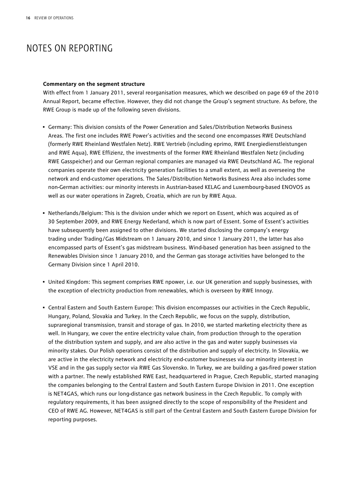## NOTES ON REPORTING

#### **Commentary on the segment structure**

With effect from 1 January 2011, several reorganisation measures, which we described on page 69 of the 2010 Annual Report, became effective. However, they did not change the Group's segment structure. As before, the RWE Group is made up of the following seven divisions.

- Germany: This division consists of the Power Generation and Sales/Distribution Networks Business Areas. The first one includes RWE Power's activities and the second one encompasses RWE Deutschland (formerly RWE Rheinland Westfalen Netz). RWE Vertrieb (including eprimo, RWE Energiedienstleistungen and RWE Aqua), RWE Effizienz, the investments of the former RWE Rheinland Westfalen Netz (including RWE Gasspeicher) and our German regional companies are managed via RWE Deutschland AG. The regional companies operate their own electricity generation facilities to a small extent, as well as overseeing the network and end-customer operations. The Sales/Distribution Networks Business Area also includes some non-German activities: our minority interests in Austrian-based KELAG and Luxembourg-based ENOVOS as well as our water operations in Zagreb, Croatia, which are run by RWE Aqua.
- Netherlands/Belgium: This is the division under which we report on Essent, which was acquired as of 30 September 2009, and RWE Energy Nederland, which is now part of Essent. Some of Essent's activities have subsequently been assigned to other divisions. We started disclosing the company's energy trading under Trading/Gas Midstream on 1 January 2010, and since 1 January 2011, the latter has also encompassed parts of Essent's gas midstream business. Wind-based generation has been assigned to the Renewables Division since 1 January 2010, and the German gas storage activities have belonged to the Germany Division since 1 April 2010.
- United Kingdom: This segment comprises RWE npower, i.e. our UK generation and supply businesses, with the exception of electricity production from renewables, which is overseen by RWE Innogy.
- Central Eastern and South Eastern Europe: This division encompasses our activities in the Czech Republic, Hungary, Poland, Slovakia and Turkey. In the Czech Republic, we focus on the supply, distribution, supraregional transmission, transit and storage of gas. In 2010, we started marketing electricity there as well. In Hungary, we cover the entire electricity value chain, from production through to the operation of the distribution system and supply, and are also active in the gas and water supply businesses via minority stakes. Our Polish operations consist of the distribution and supply of electricity. In Slovakia, we are active in the electricity network and electricity end-customer businesses via our minority interest in VSE and in the gas supply sector via RWE Gas Slovensko. In Turkey, we are building a gas-fired power station with a partner. The newly established RWE East, headquartered in Prague, Czech Republic, started managing the companies belonging to the Central Eastern and South Eastern Europe Division in 2011. One exception is NET4GAS, which runs our long-distance gas network business in the Czech Republic. To comply with regulatory requirements, it has been assigned directly to the scope of responsibility of the President and CEO of RWE AG. However, NET4GAS is still part of the Central Eastern and South Eastern Europe Division for reporting purposes.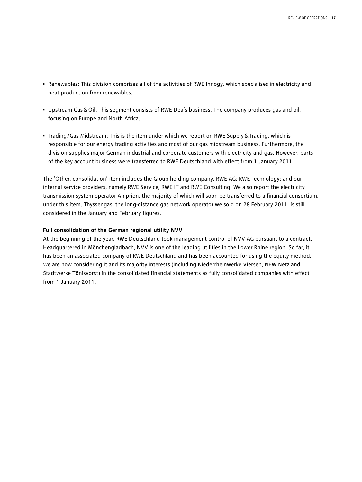- Renewables: This division comprises all of the activities of RWE Innogy, which specialises in electricity and heat production from renewables.
- Upstream Gas&Oil: This segment consists of RWE Dea's business. The company produces gas and oil, focusing on Europe and North Africa.
- Trading/Gas Midstream: This is the item under which we report on RWE Supply & Trading, which is responsible for our energy trading activities and most of our gas midstream business. Furthermore, the division supplies major German industrial and corporate customers with electricity and gas. However, parts of the key account business were transferred to RWE Deutschland with effect from 1 January 2011.

The 'Other, consolidation' item includes the Group holding company, RWE AG; RWE Technology; and our internal service providers, namely RWE Service, RWE IT and RWE Consulting. We also report the electricity transmission system operator Amprion, the majority of which will soon be transferred to a financial consortium, under this item. Thyssengas, the long-distance gas network operator we sold on 28 February 2011, is still considered in the January and February figures.

#### **Full consolidation of the German regional utility NVV**

At the beginning of the year, RWE Deutschland took management control of NVV AG pursuant to a contract. Headquartered in Mönchengladbach, NVV is one of the leading utilities in the Lower Rhine region. So far, it has been an associated company of RWE Deutschland and has been accounted for using the equity method. We are now considering it and its majority interests (including Niederrheinwerke Viersen, NEW Netz and Stadtwerke Tönisvorst) in the consolidated financial statements as fully consolidated companies with effect from 1 January 2011.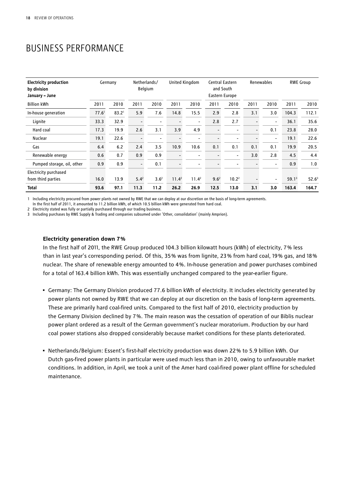## BUSINESS PERFORMANCE

| <b>Electricity production</b><br>by division<br>January - June |                   | Germany           |                          | Netherlands/<br><b>Belgium</b> | United Kingdom           |                          | Central Eastern<br>and South<br>Eastern Europe |                   | Renewables               |                          |                   | <b>RWE Group</b>  |
|----------------------------------------------------------------|-------------------|-------------------|--------------------------|--------------------------------|--------------------------|--------------------------|------------------------------------------------|-------------------|--------------------------|--------------------------|-------------------|-------------------|
| <b>Billion kWh</b>                                             | 2011              | 2010              | 2011                     | 2010                           | 2011                     | 2010                     | 2011                                           | 2010              | 2011                     | 2010                     | 2011              | 2010              |
| In-house generation                                            | 77.6 <sup>1</sup> | 83.2 <sup>1</sup> | 5.9                      | 7.6                            | 14.8                     | 15.5                     | 2.9                                            | 2.8               | 3.1                      | 3.0                      | 104.3             | 112.1             |
| Lignite                                                        | 33.3              | 32.9              | $\overline{\phantom{0}}$ | $\overline{\phantom{0}}$       | $\overline{a}$           | $\overline{\phantom{0}}$ | 2.8                                            | 2.7               |                          | $\overline{\phantom{0}}$ | 36.1              | 35.6              |
| Hard coal                                                      | 17.3              | 19.9              | 2.6                      | 3.1                            | 3.9                      | 4.9                      |                                                | -                 | $\overline{\phantom{0}}$ | 0.1                      | 23.8              | 28.0              |
| <b>Nuclear</b>                                                 | 19.1              | 22.6              | $\overline{\phantom{a}}$ | $\overline{\phantom{a}}$       | $\overline{\phantom{0}}$ | $\overline{\phantom{0}}$ |                                                | -                 |                          | $\overline{\phantom{a}}$ | 19.1              | 22.6              |
| Gas                                                            | 6.4               | 6.2               | 2.4                      | 3.5                            | 10.9                     | 10.6                     | 0.1                                            | 0.1               | 0.1                      | 0.1                      | 19.9              | 20.5              |
| Renewable energy                                               | 0.6               | 0.7               | 0.9                      | 0.9                            | $\overline{\phantom{a}}$ | $\overline{\phantom{a}}$ |                                                | -                 | 3.0                      | 2.8                      | 4.5               | 4.4               |
| Pumped storage, oil, other                                     | 0.9               | 0.9               | $\blacksquare$           | 0.1                            |                          | $\overline{\phantom{0}}$ |                                                | $\overline{a}$    |                          | $\overline{\phantom{a}}$ | 0.9               | 1.0               |
| Electricity purchased                                          |                   |                   |                          |                                |                          |                          |                                                |                   |                          |                          |                   |                   |
| from third parties                                             | 16.0              | 13.9              | $5.4^2$                  | 3.6 <sup>2</sup>               | $11.4^2$                 | $11.4^2$                 | 9.6 <sup>2</sup>                               | 10.2 <sup>2</sup> |                          | -                        | 59.1 <sup>3</sup> | 52.6 <sup>3</sup> |
| <b>Total</b>                                                   | 93.6              | 97.1              | 11.3                     | 11.2                           | 26.2                     | 26.9                     | 12.5                                           | 13.0              | 3.1                      | 3.0                      | 163.4             | 164.7             |

1 Including electricity procured from power plants not owned by RWE that we can deploy at our discretion on the basis of long-term agreements. In the first half of 2011, it amounted to 11.2 billion kWh, of which 10.5 billion kWh were generated from hard coal.

2 Electricity stated was fully or partially purchased through our trading business.

3 Including purchases by RWE Supply & Trading and companies subsumed under 'Other, consolidation' (mainly Amprion).

#### **Electricity generation down 7 %**

In the first half of 2011, the RWE Group produced 104.3 billion kilowatt hours (kWh) of electricity, 7 % less than in last year's corresponding period. Of this, 35 % was from lignite, 23 % from hard coal, 19 % gas, and 18 % nuclear. The share of renewable energy amounted to 4 %. In-house generation and power purchases combined for a total of 163.4 billion kWh. This was essentially unchanged compared to the year-earlier figure.

- Germany: The Germany Division produced 77.6 billion kWh of electricity. It includes electricity generated by power plants not owned by RWE that we can deploy at our discretion on the basis of long-term agreements. These are primarily hard coal-fired units. Compared to the first half of 2010, electricity production by the Germany Division declined by 7 %. The main reason was the cessation of operation of our Biblis nuclear power plant ordered as a result of the German government's nuclear moratorium. Production by our hard coal power stations also dropped considerably because market conditions for these plants deteriorated.
- Netherlands/Belgium: Essent's first-half electricity production was down 22 % to 5.9 billion kWh. Our Dutch gas-fired power plants in particular were used much less than in 2010, owing to unfavourable market conditions. In addition, in April, we took a unit of the Amer hard coal-fired power plant offline for scheduled maintenance.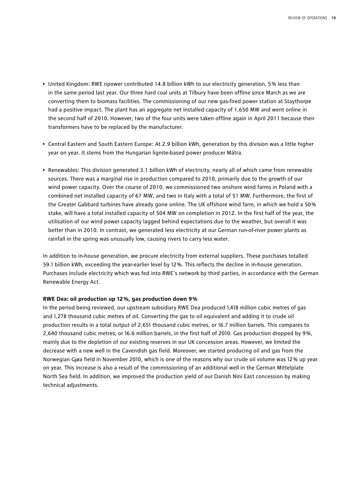- United Kingdom: RWE npower contributed 14.8 billion kWh to our electricity generation, 5 % less than in the same period last year. Our three hard coal units at Tilbury have been offline since March as we are converting them to biomass facilities. The commissioning of our new gas-fired power station at Staythorpe had a positive impact. The plant has an aggregate net installed capacity of 1,650 MW and went online in the second half of 2010. However, two of the four units were taken offline again in April 2011 because their transformers have to be replaced by the manufacturer.
- Central Eastern and South Eastern Europe: At 2.9 billion kWh, generation by this division was a little higher year on year. It stems from the Hungarian lignite-based power producer Mátra.
- Renewables: This division generated 3.1 billion kWh of electricity, nearly all of which came from renewable sources. There was a marginal rise in production compared to 2010, primarily due to the growth of our wind power capacity. Over the course of 2010, we commissioned two onshore wind farms in Poland with a combined net installed capacity of 67 MW, and two in Italy with a total of 51 MW. Furthermore, the first of the Greater Gabbard turbines have already gone online. The UK offshore wind farm, in which we hold a 50 % stake, will have a total installed capacity of 504 MW on completion in 2012. In the first half of the year, the utilisation of our wind power capacity lagged behind expectations due to the weather, but overall it was better than in 2010. In contrast, we generated less electricity at our German run-of-river power plants as rainfall in the spring was unusually low, causing rivers to carry less water.

In addition to in-house generation, we procure electricity from external suppliers. These purchases totalled 59.1 billion kWh, exceeding the year-earlier level by 12 %. This reflects the decline in in-house generation. Purchases include electricity which was fed into RWE's network by third parties, in accordance with the German Renewable Energy Act.

#### **RWE Dea: oil production up 12 %, gas production down 9 %**

In the period being reviewed, our upstream subsidiary RWE Dea produced 1,418 million cubic metres of gas and 1,278 thousand cubic metres of oil. Converting the gas to oil equivalent and adding it to crude oil production results in a total output of 2,651 thousand cubic metres, or 16.7 million barrels. This compares to 2,640 thousand cubic metres, or 16.6 million barrels, in the first half of 2010. Gas production dropped by 9%, mainly due to the depletion of our existing reserves in our UK concession areas. However, we limited the decrease with a new well in the Cavendish gas field. Moreover, we started producing oil and gas from the Norwegian Gjøa field in November 2010, which is one of the reasons why our crude oil volume was 12 % up year on year. This increase is also a result of the commissioning of an additional well in the German Mittelplate North Sea field. In addition, we improved the production yield of our Danish Nini East concession by making technical adjustments.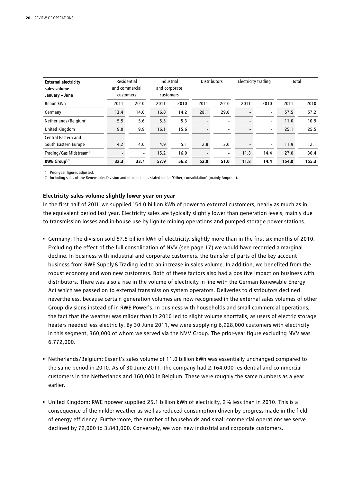| <b>External electricity</b><br>sales volume<br>January - June | and commercial<br>customers | Residential              | Industrial<br>and corporate<br>customers |      |                          | <b>Distributors</b>      | <b>Electricity trading</b> |                          |       | Total |
|---------------------------------------------------------------|-----------------------------|--------------------------|------------------------------------------|------|--------------------------|--------------------------|----------------------------|--------------------------|-------|-------|
| <b>Billion kWh</b>                                            | 2011                        | 2010                     | 2011                                     | 2010 | 2011                     | 2010                     | 2011                       | 2010                     | 2011  | 2010  |
| Germany                                                       | 13.4                        | 14.0                     | 16.0                                     | 14.2 | 28.1                     | 29.0                     | $\overline{\phantom{0}}$   | $\overline{\phantom{a}}$ | 57.5  | 57.2  |
| Netherlands/Belgium <sup>1</sup>                              | 5.5                         | 5.6                      | 5.5                                      | 5.3  | $\overline{\phantom{0}}$ | $\overline{\phantom{a}}$ | $\overline{\phantom{0}}$   | $\overline{\phantom{a}}$ | 11.0  | 10.9  |
| United Kingdom                                                | 9.0                         | 9.9                      | 16.1                                     | 15.6 | $\overline{\phantom{0}}$ | $\overline{\phantom{a}}$ | $\overline{\phantom{0}}$   | $\overline{\phantom{a}}$ | 25.1  | 25.5  |
| Central Eastern and                                           |                             |                          |                                          |      |                          |                          |                            |                          |       |       |
| South Eastern Europe                                          | 4.2                         | 4.0                      | 4.9                                      | 5.1  | 2.8                      | 3.0                      | $\overline{\phantom{0}}$   | $\overline{\phantom{a}}$ | 11.9  | 12.1  |
| Trading/Gas Midstream <sup>1</sup>                            |                             | $\overline{\phantom{a}}$ | 15.2                                     | 16.0 | $\overline{\phantom{0}}$ | $\overline{\phantom{a}}$ | 11.8                       | 14.4                     | 27.0  | 30.4  |
| RWE Group <sup>1,2</sup>                                      | 32.3                        | 33.7                     | 57.9                                     | 56.2 | 52.0                     | 51.0                     | 11.8                       | 14.4                     | 154.0 | 155.3 |

1 Prior-year figures adjusted.

2 Including sales of the Renewables Division and of companies stated under 'Other, consolidation' (mainly Amprion).

#### **Electricity sales volume slightly lower year on year**

In the first half of 2011, we supplied 154.0 billion kWh of power to external customers, nearly as much as in the equivalent period last year. Electricity sales are typically slightly lower than generation levels, mainly due to transmission losses and in-house use by lignite mining operations and pumped storage power stations.

- Germany: The division sold 57.5 billion kWh of electricity, slightly more than in the first six months of 2010. Excluding the effect of the full consolidation of NVV (see page 17) we would have recorded a marginal decline. In business with industrial and corporate customers, the transfer of parts of the key account business from RWE Supply&Trading led to an increase in sales volume. In addition, we benefited from the robust economy and won new customers. Both of these factors also had a positive impact on business with distributors. There was also a rise in the volume of electricity in line with the German Renewable Energy Act which we passed on to external transmission system operators. Deliveries to distributors declined nevertheless, because certain generation volumes are now recognised in the external sales volumes of other Group divisions instead of in RWE Power's. In business with households and small commercial operations, the fact that the weather was milder than in 2010 led to slight volume shortfalls, as users of electric storage heaters needed less electricity. By 30 June 2011, we were supplying 6,928,000 customers with electricity in this segment, 360,000 of whom we served via the NVV Group. The prior-year figure excluding NVV was 6,772,000.
- Netherlands/Belgium: Essent's sales volume of 11.0 billion kWh was essentially unchanged compared to the same period in 2010. As of 30 June 2011, the company had 2,164,000 residential and commercial customers in the Netherlands and 160,000 in Belgium. These were roughly the same numbers as a year earlier.
- United Kingdom: RWE npower supplied 25.1 billion kWh of electricity, 2 % less than in 2010. This is a consequence of the milder weather as well as reduced consumption driven by progress made in the field of energy efficiency. Furthermore, the number of households and small commercial operations we serve declined by 72,000 to 3,843,000. Conversely, we won new industrial and corporate customers.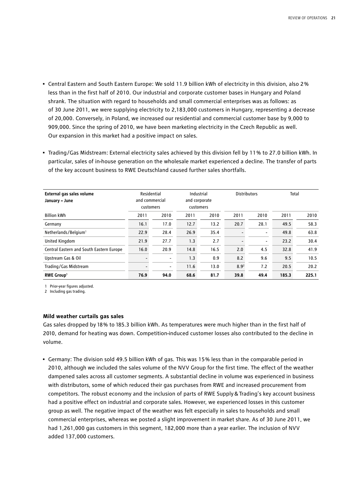- Central Eastern and South Eastern Europe: We sold 11.9 billion kWh of electricity in this division, also 2 % less than in the first half of 2010. Our industrial and corporate customer bases in Hungary and Poland shrank. The situation with regard to households and small commercial enterprises was as follows: as of 30 June 2011, we were supplying electricity to 2,183,000 customers in Hungary, representing a decrease of 20,000. Conversely, in Poland, we increased our residential and commercial customer base by 9,000 to 909,000. Since the spring of 2010, we have been marketing electricity in the Czech Republic as well. Our expansion in this market had a positive impact on sales.
- Trading/Gas Midstream: External electricity sales achieved by this division fell by 11 % to 27.0 billion kWh. In particular, sales of in-house generation on the wholesale market experienced a decline. The transfer of parts of the key account business to RWE Deutschland caused further sales shortfalls.

| External gas sales volume<br>January - June | Residential | and commercial<br>customers |      | Industrial<br>and corporate<br>customers | <b>Distributors</b> |                          | Total |       |
|---------------------------------------------|-------------|-----------------------------|------|------------------------------------------|---------------------|--------------------------|-------|-------|
| <b>Billion kWh</b>                          | 2011        | 2010                        | 2011 | 2010                                     | 2011                | 2010                     | 2011  | 2010  |
| Germany                                     | 16.1        | 17.0                        | 12.7 | 13.2                                     | 20.7                | 28.1                     | 49.5  | 58.3  |
| Netherlands/Belgium <sup>1</sup>            | 22.9        | 28.4                        | 26.9 | 35.4                                     |                     | $\overline{\phantom{a}}$ | 49.8  | 63.8  |
| United Kingdom                              | 21.9        | 27.7                        | 1.3  | 2.7                                      |                     | $\overline{\phantom{a}}$ | 23.2  | 30.4  |
| Central Eastern and South Eastern Europe    | 16.0        | 20.9                        | 14.8 | 16.5                                     | 2.0                 | 4.5                      | 32.8  | 41.9  |
| Upstream Gas & Oil                          |             | $\overline{\phantom{a}}$    | 1.3  | 0.9                                      | 8.2                 | 9.6                      | 9.5   | 10.5  |
| Trading/Gas Midstream                       |             | $\overline{\phantom{a}}$    | 11.6 | 13.0                                     | 8.9 <sup>2</sup>    | 7.2                      | 20.5  | 20.2  |
| <b>RWE Group</b> <sup>1</sup>               | 76.9        | 94.0                        | 68.6 | 81.7                                     | 39.8                | 49.4                     | 185.3 | 225.1 |

1 Prior-year figures adjusted.

2 Including gas trading.

#### **Mild weather curtails gas sales**

Gas sales dropped by 18 % to 185.3 billion kWh. As temperatures were much higher than in the first half of 2010, demand for heating was down. Competition-induced customer losses also contributed to the decline in volume.

• Germany: The division sold 49.5 billion kWh of gas. This was 15 % less than in the comparable period in 2010, although we included the sales volume of the NVV Group for the first time. The effect of the weather dampened sales across all customer segments. A substantial decline in volume was experienced in business with distributors, some of which reduced their gas purchases from RWE and increased procurement from competitors. The robust economy and the inclusion of parts of RWE Supply&Trading's key account business had a positive effect on industrial and corporate sales. However, we experienced losses in this customer group as well. The negative impact of the weather was felt especially in sales to households and small commercial enterprises, whereas we posted a slight improvement in market share. As of 30 June 2011, we had 1,261,000 gas customers in this segment, 182,000 more than a year earlier. The inclusion of NVV added 137,000 customers.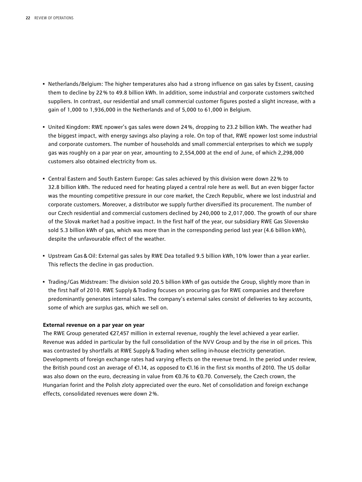- Netherlands/Belgium: The higher temperatures also had a strong influence on gas sales by Essent, causing them to decline by 22 % to 49.8 billion kWh. In addition, some industrial and corporate customers switched suppliers. In contrast, our residential and small commercial customer figures posted a slight increase, with a gain of 1,000 to 1,936,000 in the Netherlands and of 5,000 to 61,000 in Belgium.
- United Kingdom: RWE npower's gas sales were down 24 %, dropping to 23.2 billion kWh. The weather had the biggest impact, with energy savings also playing a role. On top of that, RWE npower lost some industrial and corporate customers. The number of households and small commercial enterprises to which we supply gas was roughly on a par year on year, amounting to 2,554,000 at the end of June, of which 2,298,000 customers also obtained electricity from us.
- Central Eastern and South Eastern Europe: Gas sales achieved by this division were down 22 % to 32.8 billion kWh. The reduced need for heating played a central role here as well. But an even bigger factor was the mounting competitive pressure in our core market, the Czech Republic, where we lost industrial and corporate customers. Moreover, a distributor we supply further diversified its procurement. The number of our Czech residential and commercial customers declined by 240,000 to 2,017,000. The growth of our share of the Slovak market had a positive impact. In the first half of the year, our subsidiary RWE Gas Slovensko sold 5.3 billion kWh of gas, which was more than in the corresponding period last year (4.6 billion kWh), despite the unfavourable effect of the weather.
- Upstream Gas&Oil: External gas sales by RWE Dea totalled 9.5 billion kWh, 10 % lower than a year earlier. This reflects the decline in gas production.
- Trading/Gas Midstream: The division sold 20.5 billion kWh of gas outside the Group, slightly more than in the first half of 2010. RWE Supply&Trading focuses on procuring gas for RWE companies and therefore predominantly generates internal sales. The company's external sales consist of deliveries to key accounts, some of which are surplus gas, which we sell on.

#### **External revenue on a par year on year**

The RWE Group generated €27,457 million in external revenue, roughly the level achieved a year earlier. Revenue was added in particular by the full consolidation of the NVV Group and by the rise in oil prices. This was contrasted by shortfalls at RWE Supply&Trading when selling in-house electricity generation. Developments of foreign exchange rates had varying effects on the revenue trend. In the period under review, the British pound cost an average of €1.14, as opposed to €1.16 in the first six months of 2010. The US dollar was also down on the euro, decreasing in value from €0.76 to €0.70. Conversely, the Czech crown, the Hungarian forint and the Polish zloty appreciated over the euro. Net of consolidation and foreign exchange effects, consolidated revenues were down 2 %.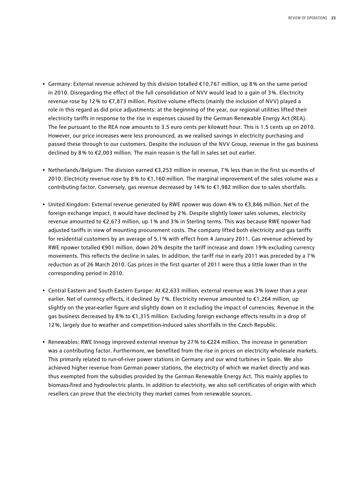- Germany: External revenue achieved by this division totalled €10,767 million, up 8 % on the same period in 2010. Disregarding the effect of the full consolidation of NVV would lead to a gain of 3 %. Electricity revenue rose by 12 % to €7,873 million. Positive volume effects (mainly the inclusion of NVV) played a role in this regard as did price adjustments: at the beginning of the year, our regional utilities lifted their electricity tariffs in response to the rise in expenses caused by the German Renewable Energy Act (REA). The fee pursuant to the REA now amounts to 3.5 euro cents per kilowatt hour. This is 1.5 cents up on 2010. However, our price increases were less pronounced, as we realised savings in electricity purchasing and passed these through to our customers. Despite the inclusion of the NVV Group, revenue in the gas business declined by 8% to €2,003 million. The main reason is the fall in sales set out earlier.
- Netherlands/Belgium: The division earned €3,253 million in revenue, 7 % less than in the first six months of 2010. Electricity revenue rose by 8% to  $\epsilon$ 1,160 million. The marginal improvement of the sales volume was a contributing factor. Conversely, gas revenue decreased by 14 % to €1,982 million due to sales shortfalls.
- United Kingdom: External revenue generated by RWE npower was down 4 % to €3,846 million. Net of the foreign exchange impact, it would have declined by 2 %. Despite slightly lower sales volumes, electricity revenue amounted to €2,673 million, up 1 % and 3 % in Sterling terms. This was because RWE npower had adjusted tariffs in view of mounting procurement costs. The company lifted both electricity and gas tariffs for residential customers by an average of 5.1 % with effect from 4 January 2011. Gas revenue achieved by RWE npower totalled €901 million, down 20 % despite the tariff increase and down 19 % excluding currency movements. This reflects the decline in sales. In addition, the tariff rise in early 2011 was preceded by a 7 % reduction as of 26 March 2010. Gas prices in the first quarter of 2011 were thus a little lower than in the corresponding period in 2010.
- Central Eastern and South Eastern Europe: At €2,633 million, external revenue was 3 % lower than a year earlier. Net of currency effects, it declined by 7 %. Electricity revenue amounted to €1,264 million, up slightly on the year-earlier figure and slightly down on it excluding the impact of currencies. Revenue in the gas business decreased by 8 % to €1,315 million. Excluding foreign exchange effects results in a drop of 12 %, largely due to weather and competition-induced sales shortfalls in the Czech Republic.
- Renewables: RWE Innogy improved external revenue by 27 % to €224 million. The increase in generation was a contributing factor. Furthermore, we benefited from the rise in prices on electricity wholesale markets. This primarily related to run-of-river power stations in Germany and our wind turbines in Spain. We also achieved higher revenue from German power stations, the electricity of which we market directly and was thus exempted from the subsidies provided by the German Renewable Energy Act. This mainly applies to biomass-fired and hydroelectric plants. In addition to electricity, we also sell certificates of origin with which resellers can prove that the electricity they market comes from renewable sources.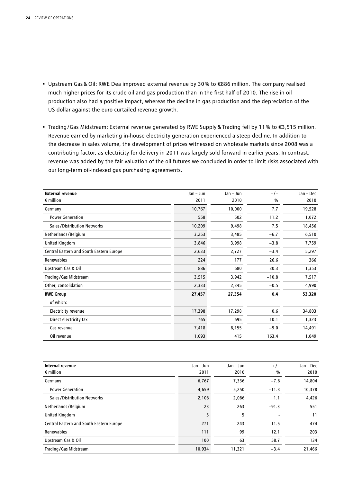- Upstream Gas&Oil: RWE Dea improved external revenue by 30 % to €886 million. The company realised much higher prices for its crude oil and gas production than in the first half of 2010. The rise in oil production also had a positive impact, whereas the decline in gas production and the depreciation of the US dollar against the euro curtailed revenue growth.
- Trading/Gas Midstream: External revenue generated by RWE Supply&Trading fell by 11 % to €3,515 million. Revenue earned by marketing in-house electricity generation experienced a steep decline. In addition to the decrease in sales volume, the development of prices witnessed on wholesale markets since 2008 was a contributing factor, as electricity for delivery in 2011 was largely sold forward in earlier years. In contrast, revenue was added by the fair valuation of the oil futures we concluded in order to limit risks associated with our long-term oil-indexed gas purchasing agreements.

| <b>External revenue</b>                  | Jan - Jun | Jan - Jun | $+/-$   | Jan - Dec |
|------------------------------------------|-----------|-----------|---------|-----------|
| $\epsilon$ million                       | 2011      | 2010      | $\%$    | 2010      |
| Germany                                  | 10,767    | 10,000    | 7.7     | 19,528    |
| <b>Power Generation</b>                  | 558       | 502       | 11.2    | 1,072     |
| Sales/Distribution Networks              | 10,209    | 9,498     | 7.5     | 18,456    |
| Netherlands/Belgium                      | 3,253     | 3,485     | $-6.7$  | 6,510     |
| United Kingdom                           | 3,846     | 3,998     | $-3.8$  | 7,759     |
| Central Eastern and South Eastern Europe | 2,633     | 2,727     | $-3.4$  | 5,297     |
| Renewables                               | 224       | 177       | 26.6    | 366       |
| Upstream Gas & Oil                       | 886       | 680       | 30.3    | 1,353     |
| Trading/Gas Midstream                    | 3,515     | 3,942     | $-10.8$ | 7,517     |
| Other, consolidation                     | 2,333     | 2,345     | $-0.5$  | 4,990     |
| <b>RWE Group</b>                         | 27,457    | 27,354    | 0.4     | 53,320    |
| of which:                                |           |           |         |           |
| Electricity revenue                      | 17,398    | 17,298    | 0.6     | 34,803    |
| Direct electricity tax                   | 765       | 695       | 10.1    | 1,323     |
| Gas revenue                              | 7,418     | 8,155     | $-9.0$  | 14,491    |
| Oil revenue                              | 1,093     | 415       | 163.4   | 1,049     |

| Internal revenue                         | $Jan - Jun$ | Jan - Jun | $+/-$   | Jan - Dec |
|------------------------------------------|-------------|-----------|---------|-----------|
| $\epsilon$ million                       | 2011        | 2010      | %       | 2010      |
| Germany                                  | 6,767       | 7,336     | $-7.8$  | 14,804    |
| <b>Power Generation</b>                  | 4,659       | 5,250     | $-11.3$ | 10.378    |
| Sales/Distribution Networks              | 2,108       | 2,086     | 1.1     | 4,426     |
| Netherlands/Belgium                      | 23          | 263       | $-91.3$ | 551       |
| United Kingdom                           | 5           | 5         |         | 11        |
| Central Eastern and South Eastern Europe | 271         | 243       | 11.5    | 474       |
| Renewables                               | 111         | 99        | 12.1    | 203       |
| Upstream Gas & Oil                       | 100         | 63        | 58.7    | 134       |
| Trading/Gas Midstream                    | 10,934      | 11,321    | $-3.4$  | 21,466    |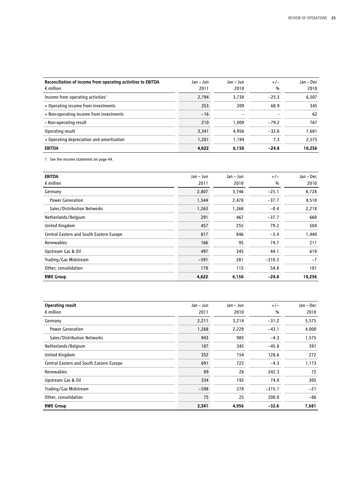| Reconciliation of income from operating activities to EBITDA<br>$\epsilon$ million | Jan – Jun<br>2011 | $Jan - Jun$<br>2010 | $+/-$<br>$\frac{0}{0}$ | Jan - Dec<br>2010 |
|------------------------------------------------------------------------------------|-------------------|---------------------|------------------------|-------------------|
| Income from operating activities <sup>1</sup>                                      | 2.794             | 3.738               | $-25.3$                | 6,507             |
| + Operating income from investments                                                | 353               | 209                 | 68.9                   | 345               |
| + Non-operating income from investments                                            | $-16$             |                     |                        | 62                |
| - Non-operating result                                                             | 210               | 1.009               | $-79.2$                | 767               |
| Operating result                                                                   | 3.341             | 4,956               | $-32.6$                | 7,681             |
| + Operating depreciation and amortisation                                          | 1,281             | 1,194               | 7.3                    | 2,575             |
| <b>EBITDA</b>                                                                      | 4.622             | 6.150               | $-24.8$                | 10.256            |

1 See the income statement on page 44.

| <b>EBITDA</b>                            | Jan - Jun | Jan - Jun | $+/-$    | Jan - Dec |
|------------------------------------------|-----------|-----------|----------|-----------|
| $\epsilon$ million                       | 2011      | 2010      | %        | 2010      |
| Germany                                  | 2,807     | 3,746     | $-25.1$  | 6,728     |
| <b>Power Generation</b>                  | 1,544     | 2,478     | $-37.7$  | 4,510     |
| Sales/Distribution Networks              | 1,263     | 1,268     | $-0.4$   | 2,218     |
| Netherlands/Belgium                      | 291       | 467       | $-37.7$  | 660       |
| United Kingdom                           | 457       | 255       | 79.2     | 504       |
| Central Eastern and South Eastern Europe | 817       | 846       | $-3.4$   | 1,440     |
| Renewables                               | 166       | 95        | 74.7     | 211       |
| Upstream Gas & Oil                       | 497       | 345       | 44.1     | 619       |
| Trading/Gas Midstream                    | $-591$    | 281       | $-310.3$ | $-7$      |
| Other, consolidation                     | 178       | 115       | 54.8     | 101       |
| <b>RWE Group</b>                         | 4,622     | 6,150     | $-24.8$  | 10,256    |

| <b>Operating result</b>                  | Jan - Jun | Jan – Jun | $+/-$    | Jan - Dec |
|------------------------------------------|-----------|-----------|----------|-----------|
| $\epsilon$ million                       | 2011      | 2010      | %        | 2010      |
| Germany                                  | 2,211     | 3,214     | $-31.2$  | 5,575     |
| <b>Power Generation</b>                  | 1,268     | 2,229     | $-43.1$  | 4,000     |
| Sales/Distribution Networks              | 943       | 985       | $-4.3$   | 1,575     |
| Netherlands/Belgium                      | 187       | 345       | $-45.8$  | 391       |
| <b>United Kingdom</b>                    | 352       | 154       | 128.6    | 272       |
| Central Eastern and South Eastern Europe | 691       | 722       | $-4.3$   | 1,173     |
| <b>Renewables</b>                        | 89        | 26        | 242.3    | 72        |
| Upstream Gas & Oil                       | 334       | 192       | 74.0     | 305       |
| Trading/Gas Midstream                    | $-598$    | 278       | $-315.1$ | $-21$     |
| Other, consolidation                     | 75        | 25        | 200.0    | $-86$     |
| <b>RWE Group</b>                         | 3,341     | 4,956     | $-32.6$  | 7,681     |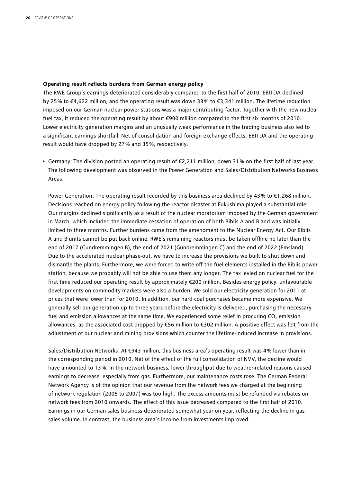#### **Operating result reflects burdens from German energy policy**

The RWE Group's earnings deteriorated considerably compared to the first half of 2010. EBITDA declined by 25 % to €4,622 million, and the operating result was down 33 % to €3,341 million. The lifetime reduction imposed on our German nuclear power stations was a major contributing factor. Together with the new nuclear fuel tax, it reduced the operating result by about €900 million compared to the first six months of 2010. Lower electricity generation margins and an unusually weak performance in the trading business also led to a significant earnings shortfall. Net of consolidation and foreign exchange effects, EBITDA and the operating result would have dropped by 27 % and 35 %, respectively.

• Germany: The division posted an operating result of €2,211 million, down 31 % on the first half of last year. The following development was observed in the Power Generation and Sales/Distribution Networks Business Areas:

Power Generation: The operating result recorded by this business area declined by 43% to €1,268 million. Decisions reached on energy policy following the reactor disaster at Fukushima played a substantial role. Our margins declined significantly as a result of the nuclear moratorium imposed by the German government in March, which included the immediate cessation of operation of both Biblis A and B and was initially limited to three months. Further burdens came from the amendment to the Nuclear Energy Act. Our Biblis A and B units cannot be put back online. RWE's remaining reactors must be taken offline no later than the end of 2017 (Gundremmingen B), the end of 2021 (Gundremmingen C) and the end of 2022 (Emsland). Due to the accelerated nuclear phase-out, we have to increase the provisions we built to shut down and dismantle the plants. Furthermore, we were forced to write off the fuel elements installed in the Biblis power station, because we probably will not be able to use them any longer. The tax levied on nuclear fuel for the first time reduced our operating result by approximately €200 million. Besides energy policy, unfavourable developments on commodity markets were also a burden. We sold our electricity generation for 2011 at prices that were lower than for 2010. In addition, our hard coal purchases became more expensive. We generally sell our generation up to three years before the electricity is delivered, purchasing the necessary fuel and emission allowances at the same time. We experienced some relief in procuring CO<sub>2</sub> emission allowances, as the associated cost dropped by €56 million to €302 million. A positive effect was felt from the adjustment of our nuclear and mining provisions which counter the lifetime-induced increase in provisions.

Sales/Distribution Networks: At €943 million, this business area's operating result was 4 % lower than in the corresponding period in 2010. Net of the effect of the full consolidation of NVV, the decline would have amounted to 13 %. In the network business, lower throughput due to weather-related reasons caused earnings to decrease, especially from gas. Furthermore, our maintenance costs rose. The German Federal Network Agency is of the opinion that our revenue from the network fees we charged at the beginning of network regulation (2005 to 2007) was too high. The excess amounts must be refunded via rebates on network fees from 2010 onwards. The effect of this issue decreased compared to the first half of 2010. Earnings in our German sales business deteriorated somewhat year on year, reflecting the decline in gas sales volume. In contrast, the business area's income from investments improved.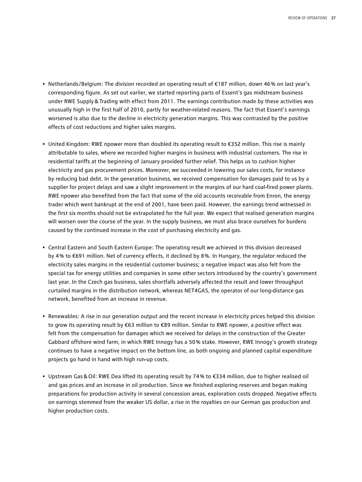- Netherlands/Belgium: The division recorded an operating result of €187 million, down 46 % on last year's corresponding figure. As set out earlier, we started reporting parts of Essent's gas midstream business under RWE Supply & Trading with effect from 2011. The earnings contribution made by these activities was unusually high in the first half of 2010, partly for weather-related reasons. The fact that Essent's earnings worsened is also due to the decline in electricity generation margins. This was contrasted by the positive effects of cost reductions and higher sales margins.
- United Kingdom: RWE npower more than doubled its operating result to €352 million. This rise is mainly attributable to sales, where we recorded higher margins in business with industrial customers. The rise in residential tariffs at the beginning of January provided further relief. This helps us to cushion higher electricity and gas procurement prices. Moreover, we succeeded in lowering our sales costs, for instance by reducing bad debt. In the generation business, we received compensation for damages paid to us by a supplier for project delays and saw a slight improvement in the margins of our hard coal-fired power plants. RWE npower also benefited from the fact that some of the old accounts receivable from Enron, the energy trader which went bankrupt at the end of 2001, have been paid. However, the earnings trend witnessed in the first six months should not be extrapolated for the full year. We expect that realised generation margins will worsen over the course of the year. In the supply business, we must also brace ourselves for burdens caused by the continued increase in the cost of purchasing electricity and gas.
- Central Eastern and South Eastern Europe: The operating result we achieved in this division decreased by 4 % to €691 million. Net of currency effects, it declined by 8 %. In Hungary, the regulator reduced the electricity sales margins in the residential customer business; a negative impact was also felt from the special tax for energy utilities and companies in some other sectors introduced by the country's government last year. In the Czech gas business, sales shortfalls adversely affected the result and lower throughput curtailed margins in the distribution network, whereas NET4GAS, the operator of our long-distance gas network, benefited from an increase in revenue.
- Renewables: A rise in our generation output and the recent increase in electricity prices helped this division to grow its operating result by €63 million to €89 million. Similar to RWE npower, a positive effect was felt from the compensation for damages which we received for delays in the construction of the Greater Gabbard offshore wind farm, in which RWE Innogy has a 50 % stake. However, RWE Innogy's growth strategy continues to have a negative impact on the bottom line, as both ongoing and planned capital expenditure projects go hand in hand with high run-up costs.
- Upstream Gas&Oil: RWE Dea lifted its operating result by 74 % to €334 million, due to higher realised oil and gas prices and an increase in oil production. Since we finished exploring reserves and began making preparations for production activity in several concession areas, exploration costs dropped. Negative effects on earnings stemmed from the weaker US dollar, a rise in the royalties on our German gas production and higher production costs.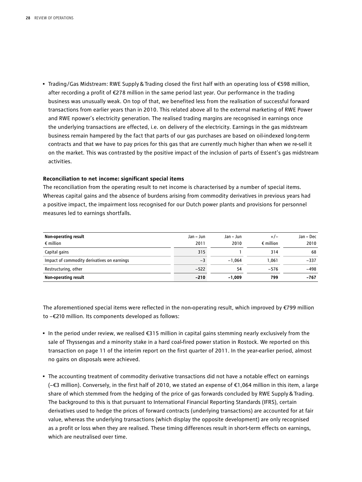• Trading/Gas Midstream: RWE Supply&Trading closed the first half with an operating loss of €598 million, after recording a profit of €278 million in the same period last year. Our performance in the trading business was unusually weak. On top of that, we benefited less from the realisation of successful forward transactions from earlier years than in 2010. This related above all to the external marketing of RWE Power and RWE npower's electricity generation. The realised trading margins are recognised in earnings once the underlying transactions are effected, i.e. on delivery of the electricity. Earnings in the gas midstream business remain hampered by the fact that parts of our gas purchases are based on oil-indexed long-term contracts and that we have to pay prices for this gas that are currently much higher than when we re-sell it on the market. This was contrasted by the positive impact of the inclusion of parts of Essent's gas midstream activities.

#### **Reconciliation to net income: significant special items**

The reconciliation from the operating result to net income is characterised by a number of special items. Whereas capital gains and the absence of burdens arising from commodity derivatives in previous years had a positive impact, the impairment loss recognised for our Dutch power plants and provisions for personnel measures led to earnings shortfalls.

| Non-operating result                        | Jan – Jun | Jan – Jun | $+/-$              | Jan – Dec |
|---------------------------------------------|-----------|-----------|--------------------|-----------|
| $\epsilon$ million                          | 2011      | 2010      | $\epsilon$ million | 2010      |
| Capital gains                               | 315       |           | 314                | 68        |
| Impact of commodity derivatives on earnings | $-3$      | $-1.064$  | 1.061              | $-337$    |
| Restructuring, other                        | $-522$    | 54        | $-576$             | $-498$    |
| Non-operating result                        | $-210$    | $-1.009$  | 799                | -767      |

The aforementioned special items were reflected in the non-operating result, which improved by €799 million to −€210 million. Its components developed as follows:

- In the period under review, we realised €315 million in capital gains stemming nearly exclusively from the sale of Thyssengas and a minority stake in a hard coal-fired power station in Rostock. We reported on this transaction on page 11 of the interim report on the first quarter of 2011. In the year-earlier period, almost no gains on disposals were achieved.
- The accounting treatment of commodity derivative transactions did not have a notable effect on earnings (−€3 million). Conversely, in the first half of 2010, we stated an expense of €1,064 million in this item, a large share of which stemmed from the hedging of the price of gas forwards concluded by RWE Supply&Trading. The background to this is that pursuant to International Financial Reporting Standards (IFRS), certain derivatives used to hedge the prices of forward contracts (underlying transactions) are accounted for at fair value, whereas the underlying transactions (which display the opposite development) are only recognised as a profit or loss when they are realised. These timing differences result in short-term effects on earnings, which are neutralised over time.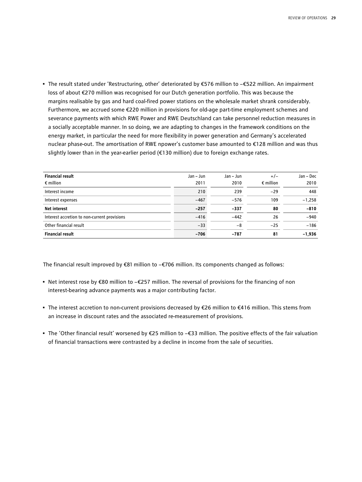• The result stated under 'Restructuring, other' deteriorated by €576 million to −€522 million. An impairment loss of about €270 million was recognised for our Dutch generation portfolio. This was because the margins realisable by gas and hard coal-fired power stations on the wholesale market shrank considerably. Furthermore, we accrued some €220 million in provisions for old-age part-time employment schemes and severance payments with which RWE Power and RWE Deutschland can take personnel reduction measures in a socially acceptable manner. In so doing, we are adapting to changes in the framework conditions on the energy market, in particular the need for more flexibility in power generation and Germany's accelerated nuclear phase-out. The amortisation of RWE npower's customer base amounted to €128 million and was thus slightly lower than in the year-earlier period (€130 million) due to foreign exchange rates.

| <b>Financial result</b><br>$\epsilon$ million | Jan – Jun<br>2011 | Jan - Jun<br>2010 | $+/-$<br>$\epsilon$ million | Jan - Dec<br>2010 |
|-----------------------------------------------|-------------------|-------------------|-----------------------------|-------------------|
| Interest income                               | 210               | 239               | $-29$                       | 448               |
| Interest expenses                             | $-467$            | $-576$            | 109                         | $-1,258$          |
| <b>Net interest</b>                           | $-257$            | $-337$            | 80                          | $-810$            |
| Interest accretion to non-current provisions  | $-416$            | $-442$            | 26                          | $-940$            |
| Other financial result                        | $-33$             | -8                | $-25$                       | $-186$            |
| <b>Financial result</b>                       | $-706$            | $-787$            | 81                          | $-1,936$          |

The financial result improved by €81 million to −€706 million. Its components changed as follows:

- Net interest rose by €80 million to −€257 million. The reversal of provisions for the financing of non interest-bearing advance payments was a major contributing factor.
- The interest accretion to non-current provisions decreased by €26 million to €416 million. This stems from an increase in discount rates and the associated re-measurement of provisions.
- The 'Other financial result' worsened by €25 million to −€33 million. The positive effects of the fair valuation of financial transactions were contrasted by a decline in income from the sale of securities.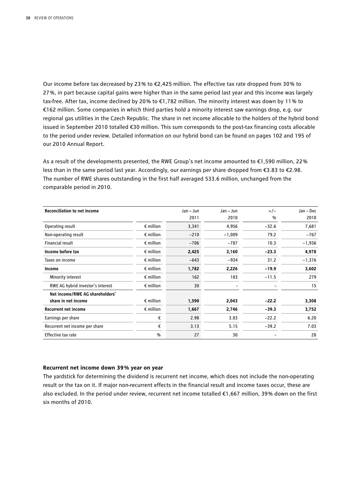Our income before tax decreased by 23 % to €2,425 million. The effective tax rate dropped from 30 % to 27 %, in part because capital gains were higher than in the same period last year and this income was largely tax-free. After tax, income declined by 20 % to €1,782 million. The minority interest was down by 11 % to €162 million. Some companies in which third parties hold a minority interest saw earnings drop, e.g. our regional gas utilities in the Czech Republic. The share in net income allocable to the holders of the hybrid bond issued in September 2010 totalled €30 million. This sum corresponds to the post-tax financing costs allocable to the period under review. Detailed information on our hybrid bond can be found on pages 102 and 195 of our 2010 Annual Report.

As a result of the developments presented, the RWE Group's net income amounted to €1,590 million, 22 % less than in the same period last year. Accordingly, our earnings per share dropped from €3.83 to €2.98. The number of RWE shares outstanding in the first half averaged 533.6 million, unchanged from the comparable period in 2010.

| <b>Reconciliation to net income</b> |                    | Jan - Jun | Jan - Jun                | $+/-$   | Jan - Dec |
|-------------------------------------|--------------------|-----------|--------------------------|---------|-----------|
|                                     |                    | 2011      | 2010                     | %       | 2010      |
| Operating result                    | $\epsilon$ million | 3,341     | 4,956                    | $-32.6$ | 7,681     |
| Non-operating result                | $\epsilon$ million | $-210$    | $-1,009$                 | 79.2    | $-767$    |
| Financial result                    | $\epsilon$ million | $-706$    | $-787$                   | 10.3    | $-1,936$  |
| Income before tax                   | $\epsilon$ million | 2,425     | 3,160                    | $-23.3$ | 4,978     |
| Taxes on income                     | $\epsilon$ million | $-643$    | $-934$                   | 31.2    | $-1,376$  |
| Income                              | $\epsilon$ million | 1,782     | 2,226                    | $-19.9$ | 3,602     |
| Minority interest                   | $\epsilon$ million | 162       | 183                      | $-11.5$ | 279       |
| RWE AG hybrid investor's interest   | $\epsilon$ million | 30        | $\overline{\phantom{0}}$ |         | 15        |
| Net income/RWE AG shareholders'     |                    |           |                          |         |           |
| share in net income                 | $\epsilon$ million | 1,590     | 2,043                    | $-22.2$ | 3,308     |
| <b>Recurrent net income</b>         | $\epsilon$ million | 1,667     | 2,746                    | $-39.3$ | 3,752     |
| Earnings per share                  | €                  | 2.98      | 3.83                     | $-22.2$ | 6.20      |
| Recurrent net income per share      | €                  | 3.13      | 5.15                     | $-39.2$ | 7.03      |
| Effective tax rate                  | $\frac{0}{0}$      | 27        | 30                       |         | 28        |

#### **Recurrent net income down 39 % year on year**

The yardstick for determining the dividend is recurrent net income, which does not include the non-operating result or the tax on it. If major non-recurrent effects in the financial result and income taxes occur, these are also excluded. In the period under review, recurrent net income totalled €1,667 million, 39 % down on the first six months of 2010.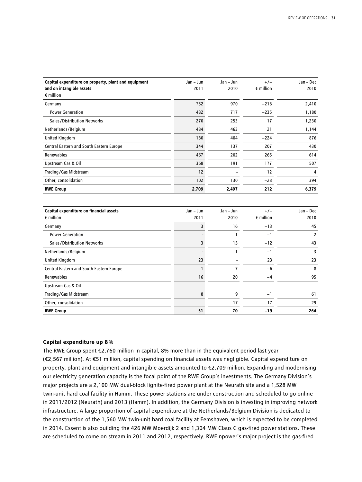| Capital expenditure on property, plant and equipment<br>and on intangible assets | Jan – Jun<br>2011 | Jan – Jun<br>2010 | $+/-$<br>$\epsilon$ million | Jan – Dec<br>2010 |
|----------------------------------------------------------------------------------|-------------------|-------------------|-----------------------------|-------------------|
| $\epsilon$ million                                                               |                   |                   |                             |                   |
| Germany                                                                          | 752               | 970               | $-218$                      | 2,410             |
| <b>Power Generation</b>                                                          | 482               | 717               | $-235$                      | 1,180             |
| Sales/Distribution Networks                                                      | 270               | 253               | 17                          | 1,230             |
| Netherlands/Belgium                                                              | 484               | 463               | 21                          | 1,144             |
| <b>United Kingdom</b>                                                            | 180               | 404               | $-224$                      | 876               |
| Central Eastern and South Eastern Europe                                         | 344               | 137               | 207                         | 430               |
| Renewables                                                                       | 467               | 202               | 265                         | 614               |
| Upstream Gas & Oil                                                               | 368               | 191               | 177                         | 507               |
| Trading/Gas Midstream                                                            | 12                |                   | 12                          | 4                 |
| Other, consolidation                                                             | 102               | 130               | $-28$                       | 394               |
| <b>RWE Group</b>                                                                 | 2,709             | 2,497             | 212                         | 6,379             |

| Capital expenditure on financial assets<br>$\epsilon$ million | Jan – Jun<br>2011 | Jan - Jun<br>2010 | $+/-$<br>$\epsilon$ million | Jan - Dec<br>2010 |
|---------------------------------------------------------------|-------------------|-------------------|-----------------------------|-------------------|
| Germany                                                       |                   | 16                | $-13$                       | 45                |
| <b>Power Generation</b>                                       |                   |                   | $-1$                        | 2                 |
| Sales/Distribution Networks                                   |                   | 15                | $-12$                       | 43                |
| Netherlands/Belgium                                           |                   |                   | $-1$                        | 3                 |
| <b>United Kingdom</b>                                         | 23                |                   | 23                          | 23                |
| Central Eastern and South Eastern Europe                      |                   | 7                 | $-6$                        | 8                 |
| Renewables                                                    | 16                | 20                | -4                          | 95                |
| Upstream Gas & Oil                                            |                   |                   |                             |                   |
| Trading/Gas Midstream                                         | 8                 | 9                 | $-1$                        | 61                |
| Other, consolidation                                          |                   | 17                | $-17$                       | 29                |
| <b>RWE Group</b>                                              | 51                | 70                | $-19$                       | 264               |

#### **Capital expenditure up 8 %**

The RWE Group spent €2,760 million in capital, 8% more than in the equivalent period last year (€2,567 million). At €51 million, capital spending on financial assets was negligible. Capital expenditure on property, plant and equipment and intangible assets amounted to €2,709 million. Expanding and modernising our electricity generation capacity is the focal point of the RWE Group's investments. The Germany Division's major projects are a 2,100 MW dual-block lignite-fired power plant at the Neurath site and a 1,528 MW twin-unit hard coal facility in Hamm. These power stations are under construction and scheduled to go online in 2011/2012 (Neurath) and 2013 (Hamm). In addition, the Germany Division is investing in improving network infrastructure. A large proportion of capital expenditure at the Netherlands/Belgium Division is dedicated to the construction of the 1,560 MW twin-unit hard coal facility at Eemshaven, which is expected to be completed in 2014. Essent is also building the 426 MW Moerdijk 2 and 1,304 MW Claus C gas-fired power stations. These are scheduled to come on stream in 2011 and 2012, respectively. RWE npower's major project is the gas-fired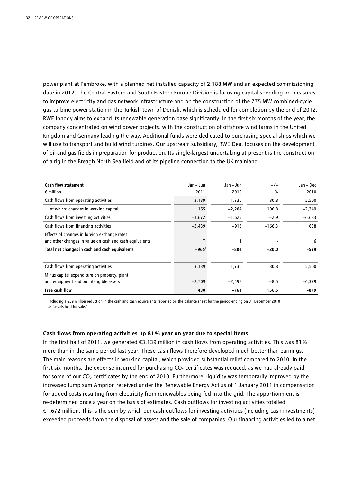power plant at Pembroke, with a planned net installed capacity of 2,188 MW and an expected commissioning date in 2012. The Central Eastern and South Eastern Europe Division is focusing capital spending on measures to improve electricity and gas network infrastructure and on the construction of the 775 MW combined-cycle gas turbine power station in the Turkish town of Denizli, which is scheduled for completion by the end of 2012. RWE Innogy aims to expand its renewable generation base significantly. In the first six months of the year, the company concentrated on wind power projects, with the construction of offshore wind farms in the United Kingdom and Germany leading the way. Additional funds were dedicated to purchasing special ships which we will use to transport and build wind turbines. Our upstream subsidiary, RWE Dea, focuses on the development of oil and gas fields in preparation for production. Its single-largest undertaking at present is the construction of a rig in the Breagh North Sea field and of its pipeline connection to the UK mainland.

| <b>Cash flow statement</b>                              | Jan – Jun      | Jan – Jun | $+/-$    | Jan - Dec |
|---------------------------------------------------------|----------------|-----------|----------|-----------|
| $\epsilon$ million                                      | 2011           | 2010      | %        | 2010      |
| Cash flows from operating activities                    | 3,139          | 1,736     | 80.8     | 5,500     |
| of which: changes in working capital                    | 155            | $-2,284$  | 106.8    | $-2,349$  |
| Cash flows from investing activities                    | $-1,672$       | $-1,625$  | $-2.9$   | $-6,683$  |
| Cash flows from financing activities                    | $-2,439$       | $-916$    | $-166.3$ | 638       |
| Effects of changes in foreign exchange rates            |                |           |          |           |
| and other changes in value on cash and cash equivalents |                |           |          | 6         |
| Total net changes in cash and cash equivalents          | $-965^{\circ}$ | $-804$    | $-20.0$  | $-539$    |
| Cash flows from operating activities                    | 3,139          | 1,736     | 80.8     | 5,500     |
| Minus capital expenditure on property, plant            |                |           |          |           |
| and equipment and on intangible assets                  | $-2,709$       | $-2,497$  | $-8.5$   | $-6,379$  |
| Free cash flow                                          | 430            | $-761$    | 156.5    | $-879$    |

1 Including a €59 million reduction in the cash and cash equivalents reported on the balance sheet for the period ending on 31 December 2010 as 'assets held for sale.'

#### **Cash flows from operating activities up 81 % year on year due to special items**

In the first half of 2011, we generated €3,139 million in cash flows from operating activities. This was 81 % more than in the same period last year. These cash flows therefore developed much better than earnings. The main reasons are effects in working capital, which provided substantial relief compared to 2010. In the first six months, the expense incurred for purchasing  $CO<sub>2</sub>$  certificates was reduced, as we had already paid for some of our  $CO<sub>2</sub>$  certificates by the end of 2010. Furthermore, liquidity was temporarily improved by the increased lump sum Amprion received under the Renewable Energy Act as of 1 January 2011 in compensation for added costs resulting from electricity from renewables being fed into the grid. The apportionment is re-determined once a year on the basis of estimates. Cash outflows for investing activities totalled €1,672 million. This is the sum by which our cash outflows for investing activities (including cash investments) exceeded proceeds from the disposal of assets and the sale of companies. Our financing activities led to a net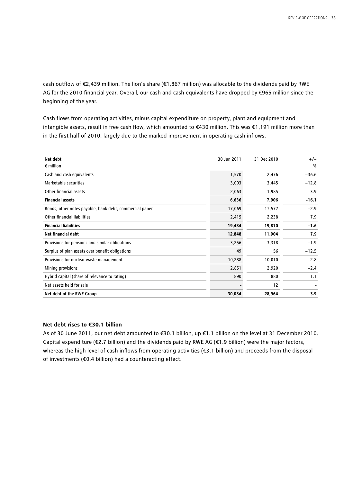cash outflow of €2,439 million. The lion's share (€1,867 million) was allocable to the dividends paid by RWE AG for the 2010 financial year. Overall, our cash and cash equivalents have dropped by €965 million since the beginning of the year.

Cash flows from operating activities, minus capital expenditure on property, plant and equipment and intangible assets, result in free cash flow, which amounted to €430 million. This was €1,191 million more than in the first half of 2010, largely due to the marked improvement in operating cash inflows.

| Net debt                                                | 30 Jun 2011 | 31 Dec 2010 | $+/-$   |
|---------------------------------------------------------|-------------|-------------|---------|
| $\epsilon$ million                                      |             |             | $\%$    |
| Cash and cash equivalents                               | 1,570       | 2,476       | $-36.6$ |
| Marketable securities                                   | 3,003       | 3,445       | $-12.8$ |
| Other financial assets                                  | 2,063       | 1,985       | 3.9     |
| <b>Financial assets</b>                                 | 6,636       | 7,906       | $-16.1$ |
| Bonds, other notes payable, bank debt, commercial paper | 17,069      | 17,572      | $-2.9$  |
| Other financial liabilities                             | 2,415       | 2,238       | 7.9     |
| <b>Financial liabilities</b>                            | 19,484      | 19,810      | $-1.6$  |
| Net financial debt                                      | 12,848      | 11,904      | 7.9     |
| Provisions for pensions and similar obligations         | 3,256       | 3,318       | $-1.9$  |
| Surplus of plan assets over benefit obligations         | 49          | 56          | $-12.5$ |
| Provisions for nuclear waste management                 | 10,288      | 10,010      | 2.8     |
| Mining provisions                                       | 2,851       | 2,920       | $-2.4$  |
| Hybrid capital (share of relevance to rating)           | 890         | 880         | 1.1     |
| Net assets held for sale                                |             | 12          |         |
| Net debt of the RWE Group                               | 30,084      | 28,964      | 3.9     |

#### **Net debt rises to €30.1 billion**

As of 30 June 2011, our net debt amounted to €30.1 billion, up €1.1 billion on the level at 31 December 2010. Capital expenditure ( $\epsilon$ 2.7 billion) and the dividends paid by RWE AG ( $\epsilon$ 1.9 billion) were the major factors, whereas the high level of cash inflows from operating activities (€3.1 billion) and proceeds from the disposal of investments (€0.4 billion) had a counteracting effect.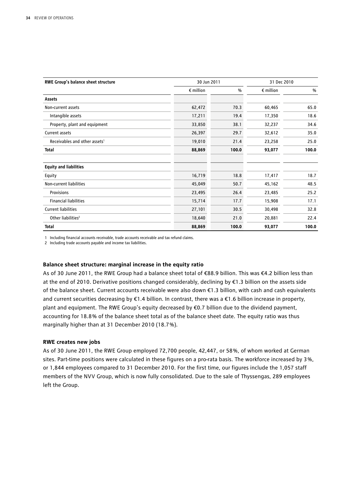| RWE Group's balance sheet structure       | 30 Jun 2011        |       | 31 Dec 2010        |               |
|-------------------------------------------|--------------------|-------|--------------------|---------------|
|                                           | $\epsilon$ million | %     | $\epsilon$ million | $\frac{0}{0}$ |
| Assets                                    |                    |       |                    |               |
| Non-current assets                        | 62,472             | 70.3  | 60,465             | 65.0          |
| Intangible assets                         | 17,211             | 19.4  | 17,350             | 18.6          |
| Property, plant and equipment             | 33,850             | 38.1  | 32,237             | 34.6          |
| Current assets                            | 26,397             | 29.7  | 32,612             | 35.0          |
| Receivables and other assets <sup>1</sup> | 19,010             | 21.4  | 23,258             | 25.0          |
| <b>Total</b>                              | 88,869             | 100.0 | 93,077             | 100.0         |
| <b>Equity and liabilities</b>             |                    |       |                    |               |
| Equity                                    | 16,719             | 18.8  | 17,417             | 18.7          |
| Non-current liabilities                   | 45,049             | 50.7  | 45,162             | 48.5          |
| Provisions                                | 23,495             | 26.4  | 23,485             | 25.2          |
| <b>Financial liabilities</b>              | 15,714             | 17.7  | 15,908             | 17.1          |
| <b>Current liabilities</b>                | 27,101             | 30.5  | 30,498             | 32.8          |
| Other liabilities <sup>2</sup>            | 18,640             | 21.0  | 20,881             | 22.4          |
| Total                                     | 88,869             | 100.0 | 93,077             | 100.0         |

1 Including financial accounts receivable, trade accounts receivable and tax refund claims.

2 Including trade accounts payable and income tax liabilities.

#### **Balance sheet structure: marginal increase in the equity ratio**

As of 30 June 2011, the RWE Group had a balance sheet total of €88.9 billion. This was €4.2 billion less than at the end of 2010. Derivative positions changed considerably, declining by €1.3 billion on the assets side of the balance sheet. Current accounts receivable were also down €1.3 billion, with cash and cash equivalents and current securities decreasing by €1.4 billion. In contrast, there was a €1.6 billion increase in property, plant and equipment. The RWE Group's equity decreased by €0.7 billion due to the dividend payment, accounting for 18.8 % of the balance sheet total as of the balance sheet date. The equity ratio was thus marginally higher than at 31 December 2010 (18.7 %).

#### **RWE creates new jobs**

As of 30 June 2011, the RWE Group employed 72,700 people, 42,447, or 58 %, of whom worked at German sites. Part-time positions were calculated in these figures on a pro-rata basis. The workforce increased by 3 %, or 1,844 employees compared to 31 December 2010. For the first time, our figures include the 1,057 staff members of the NVV Group, which is now fully consolidated. Due to the sale of Thyssengas, 289 employees left the Group.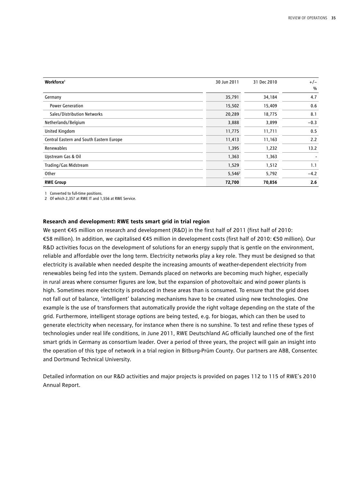| Workforce <sup>1</sup>                   | 30 Jun 2011 | 31 Dec 2010 | $+/-$  |
|------------------------------------------|-------------|-------------|--------|
|                                          |             |             | $\%$   |
| Germany                                  | 35,791      | 34,184      | 4.7    |
| <b>Power Generation</b>                  | 15,502      | 15,409      | 0.6    |
| Sales/Distribution Networks              | 20,289      | 18,775      | 8.1    |
| Netherlands/Belgium                      | 3,888       | 3,899       | $-0.3$ |
| United Kingdom                           | 11,775      | 11,711      | 0.5    |
| Central Eastern and South Eastern Europe | 11,413      | 11,163      | 2.2    |
| Renewables                               | 1,395       | 1,232       | 13.2   |
| Upstream Gas & Oil                       | 1,363       | 1,363       |        |
| Trading/Gas Midstream                    | 1,529       | 1,512       | 1.1    |
| Other                                    | $5,546^2$   | 5,792       | $-4.2$ |
| <b>RWE Group</b>                         | 72,700      | 70,856      | 2.6    |

1 Converted to full-time positions.

2 Of which 2,357 at RWE IT and 1,556 at RWE Service.

#### **Research and development: RWE tests smart grid in trial region**

We spent €45 million on research and development (R&D) in the first half of 2011 (first half of 2010: €58 million). In addition, we capitalised €45 million in development costs (first half of 2010: €50 million). Our R&D activities focus on the development of solutions for an energy supply that is gentle on the environment, reliable and affordable over the long term. Electricity networks play a key role. They must be designed so that electricity is available when needed despite the increasing amounts of weather-dependent electricity from renewables being fed into the system. Demands placed on networks are becoming much higher, especially in rural areas where consumer figures are low, but the expansion of photovoltaic and wind power plants is high. Sometimes more electricity is produced in these areas than is consumed. To ensure that the grid does not fall out of balance, 'intelligent' balancing mechanisms have to be created using new technologies. One example is the use of transformers that automatically provide the right voltage depending on the state of the grid. Furthermore, intelligent storage options are being tested, e.g. for biogas, which can then be used to generate electricity when necessary, for instance when there is no sunshine. To test and refine these types of technologies under real life conditions, in June 2011, RWE Deutschland AG officially launched one of the first smart grids in Germany as consortium leader. Over a period of three years, the project will gain an insight into the operation of this type of network in a trial region in Bitburg-Prüm County. Our partners are ABB, Consentec and Dortmund Technical University.

Detailed information on our R&D activities and major projects is provided on pages 112 to 115 of RWE's 2010 Annual Report.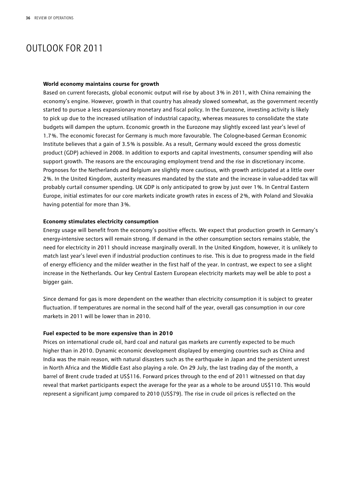## OUTLOOK FOR 2011

#### **World economy maintains course for growth**

Based on current forecasts, global economic output will rise by about 3 % in 2011, with China remaining the economy's engine. However, growth in that country has already slowed somewhat, as the government recently started to pursue a less expansionary monetary and fiscal policy. In the Eurozone, investing activity is likely to pick up due to the increased utilisation of industrial capacity, whereas measures to consolidate the state budgets will dampen the upturn. Economic growth in the Eurozone may slightly exceed last year's level of 1.7 %. The economic forecast for Germany is much more favourable. The Cologne-based German Economic Institute believes that a gain of 3.5 % is possible. As a result, Germany would exceed the gross domestic product (GDP) achieved in 2008. In addition to exports and capital investments, consumer spending will also support growth. The reasons are the encouraging employment trend and the rise in discretionary income. Prognoses for the Netherlands and Belgium are slightly more cautious, with growth anticipated at a little over 2 %. In the United Kingdom, austerity measures mandated by the state and the increase in value-added tax will probably curtail consumer spending. UK GDP is only anticipated to grow by just over 1 %. In Central Eastern Europe, initial estimates for our core markets indicate growth rates in excess of 2 %, with Poland and Slovakia having potential for more than 3 %.

#### **Economy stimulates electricity consumption**

Energy usage will benefit from the economy's positive effects. We expect that production growth in Germany's energy-intensive sectors will remain strong. If demand in the other consumption sectors remains stable, the need for electricity in 2011 should increase marginally overall. In the United Kingdom, however, it is unlikely to match last year's level even if industrial production continues to rise. This is due to progress made in the field of energy efficiency and the milder weather in the first half of the year. In contrast, we expect to see a slight increase in the Netherlands. Our key Central Eastern European electricity markets may well be able to post a bigger gain.

Since demand for gas is more dependent on the weather than electricity consumption it is subject to greater fluctuation. If temperatures are normal in the second half of the year, overall gas consumption in our core markets in 2011 will be lower than in 2010.

#### **Fuel expected to be more expensive than in 2010**

Prices on international crude oil, hard coal and natural gas markets are currently expected to be much higher than in 2010. Dynamic economic development displayed by emerging countries such as China and India was the main reason, with natural disasters such as the earthquake in Japan and the persistent unrest in North Africa and the Middle East also playing a role. On 29 July, the last trading day of the month, a barrel of Brent crude traded at US\$116. Forward prices through to the end of 2011 witnessed on that day reveal that market participants expect the average for the year as a whole to be around US\$110. This would represent a significant jump compared to 2010 (US\$79). The rise in crude oil prices is reflected on the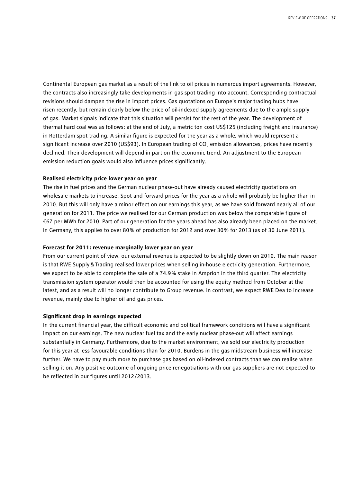Continental European gas market as a result of the link to oil prices in numerous import agreements. However, the contracts also increasingly take developments in gas spot trading into account. Corresponding contractual revisions should dampen the rise in import prices. Gas quotations on Europe's major trading hubs have risen recently, but remain clearly below the price of oil-indexed supply agreements due to the ample supply of gas. Market signals indicate that this situation will persist for the rest of the year. The development of thermal hard coal was as follows: at the end of July, a metric ton cost US\$125 (including freight and insurance) in Rotterdam spot trading. A similar figure is expected for the year as a whole, which would represent a significant increase over 2010 (US\$93). In European trading of CO<sub>2</sub> emission allowances, prices have recently declined. Their development will depend in part on the economic trend. An adjustment to the European emission reduction goals would also influence prices significantly.

#### **Realised electricity price lower year on year**

The rise in fuel prices and the German nuclear phase-out have already caused electricity quotations on wholesale markets to increase. Spot and forward prices for the year as a whole will probably be higher than in 2010. But this will only have a minor effect on our earnings this year, as we have sold forward nearly all of our generation for 2011. The price we realised for our German production was below the comparable figure of €67 per MWh for 2010. Part of our generation for the years ahead has also already been placed on the market. In Germany, this applies to over 80% of production for 2012 and over 30% for 2013 (as of 30 June 2011).

#### **Forecast for 2011: revenue marginally lower year on year**

From our current point of view, our external revenue is expected to be slightly down on 2010. The main reason is that RWE Supply&Trading realised lower prices when selling in-house electricity generation. Furthermore, we expect to be able to complete the sale of a 74.9 % stake in Amprion in the third quarter. The electricity transmission system operator would then be accounted for using the equity method from October at the latest, and as a result will no longer contribute to Group revenue. In contrast, we expect RWE Dea to increase revenue, mainly due to higher oil and gas prices.

#### **Significant drop in earnings expected**

In the current financial year, the difficult economic and political framework conditions will have a significant impact on our earnings. The new nuclear fuel tax and the early nuclear phase-out will affect earnings substantially in Germany. Furthermore, due to the market environment, we sold our electricity production for this year at less favourable conditions than for 2010. Burdens in the gas midstream business will increase further. We have to pay much more to purchase gas based on oil-indexed contracts than we can realise when selling it on. Any positive outcome of ongoing price renegotiations with our gas suppliers are not expected to be reflected in our figures until 2012/2013.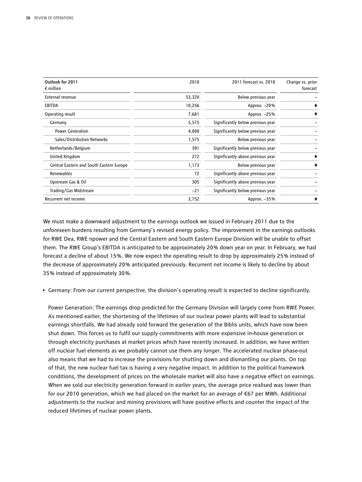| Outlook for 2011<br>$\epsilon$ million   | 2010   | 2011 forecast vs. 2010            | Change vs. prior<br>forecast |
|------------------------------------------|--------|-----------------------------------|------------------------------|
| External revenue                         | 53,320 | Below previous year               |                              |
| <b>EBITDA</b>                            | 10,256 | Approx. -20%                      |                              |
| Operating result                         | 7,681  | Approx. -25%                      |                              |
| Germany                                  | 5,575  | Significantly below previous year |                              |
| <b>Power Generation</b>                  | 4,000  | Significantly below previous year |                              |
| Sales/Distribution Networks              | 1,575  | Below previous year               |                              |
| Netherlands/Belgium                      | 391    | Significantly below previous year |                              |
| United Kingdom                           | 272    | Significantly above previous year | ♠                            |
| Central Eastern and South Eastern Europe | 1,173  | Below previous year               |                              |
| Renewables                               | 72     | Significantly above previous year |                              |
| Upstream Gas & Oil                       | 305    | Significantly above previous year |                              |
| Trading/Gas Midstream                    | $-21$  | Significantly below previous year |                              |
| Recurrent net income                     | 3,752  | Approx. $-35%$                    |                              |

We must make a downward adjustment to the earnings outlook we issued in February 2011 due to the unforeseen burdens resulting from Germany's revised energy policy. The improvement in the earnings outlooks for RWE Dea, RWE npower and the Central Eastern and South Eastern Europe Division will be unable to offset them. The RWE Group's EBITDA is anticipated to be approximately 20 % down year on year. In February, we had forecast a decline of about 15 %. We now expect the operating result to drop by approximately 25 % instead of the decrease of approximately 20 % anticipated previously. Recurrent net income is likely to decline by about 35 % instead of approximately 30 %.

• Germany: From our current perspective, the division's operating result is expected to decline significantly.

Power Generation: The earnings drop predicted for the Germany Division will largely come from RWE Power. As mentioned earlier, the shortening of the lifetimes of our nuclear power plants will lead to substantial earnings shortfalls. We had already sold forward the generation of the Biblis units, which have now been shut down. This forces us to fulfil our supply commitments with more expensive in-house generation or through electricity purchases at market prices which have recently increased. In addition, we have written off nuclear fuel elements as we probably cannot use them any longer. The accelerated nuclear phase-out also means that we had to increase the provisions for shutting down and dismantling our plants. On top of that, the new nuclear fuel tax is having a very negative impact. In addition to the political framework conditions, the development of prices on the wholesale market will also have a negative effect on earnings. When we sold our electricity generation forward in earlier years, the average price realised was lower than for our 2010 generation, which we had placed on the market for an average of €67 per MWh. Additional adjustments to the nuclear and mining provisions will have positive effects and counter the impact of the reduced lifetimes of nuclear power plants.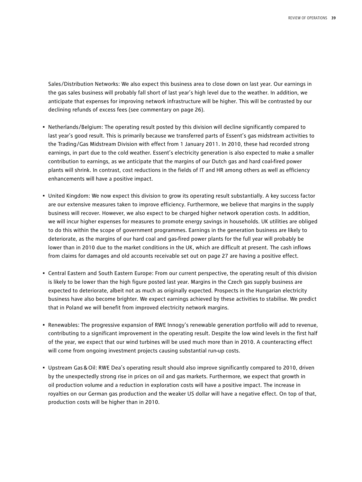Sales/Distribution Networks: We also expect this business area to close down on last year. Our earnings in the gas sales business will probably fall short of last year's high level due to the weather. In addition, we anticipate that expenses for improving network infrastructure will be higher. This will be contrasted by our declining refunds of excess fees (see commentary on page 26).

- Netherlands/Belgium: The operating result posted by this division will decline significantly compared to last year's good result. This is primarily because we transferred parts of Essent's gas midstream activities to the Trading/Gas Midstream Division with effect from 1 January 2011. In 2010, these had recorded strong earnings, in part due to the cold weather. Essent's electricity generation is also expected to make a smaller contribution to earnings, as we anticipate that the margins of our Dutch gas and hard coal-fired power plants will shrink. In contrast, cost reductions in the fields of IT and HR among others as well as efficiency enhancements will have a positive impact.
- United Kingdom: We now expect this division to grow its operating result substantially. A key success factor are our extensive measures taken to improve efficiency. Furthermore, we believe that margins in the supply business will recover. However, we also expect to be charged higher network operation costs. In addition, we will incur higher expenses for measures to promote energy savings in households. UK utilities are obliged to do this within the scope of government programmes. Earnings in the generation business are likely to deteriorate, as the margins of our hard coal and gas-fired power plants for the full year will probably be lower than in 2010 due to the market conditions in the UK, which are difficult at present. The cash inflows from claims for damages and old accounts receivable set out on page 27 are having a positive effect.
- Central Eastern and South Eastern Europe: From our current perspective, the operating result of this division is likely to be lower than the high figure posted last year. Margins in the Czech gas supply business are expected to deteriorate, albeit not as much as originally expected. Prospects in the Hungarian electricity business have also become brighter. We expect earnings achieved by these activities to stabilise. We predict that in Poland we will benefit from improved electricity network margins.
- Renewables: The progressive expansion of RWE Innogy's renewable generation portfolio will add to revenue, contributing to a significant improvement in the operating result. Despite the low wind levels in the first half of the year, we expect that our wind turbines will be used much more than in 2010. A counteracting effect will come from ongoing investment projects causing substantial run-up costs.
- Upstream Gas&Oil: RWE Dea's operating result should also improve significantly compared to 2010, driven by the unexpectedly strong rise in prices on oil and gas markets. Furthermore, we expect that growth in oil production volume and a reduction in exploration costs will have a positive impact. The increase in royalties on our German gas production and the weaker US dollar will have a negative effect. On top of that, production costs will be higher than in 2010.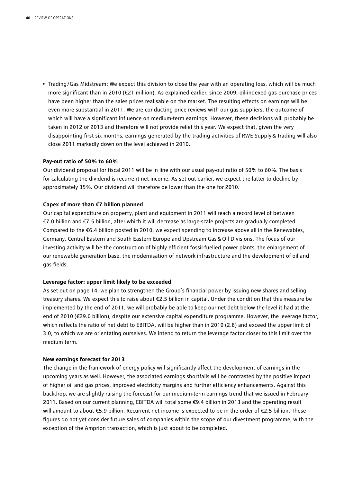• Trading/Gas Midstream: We expect this division to close the year with an operating loss, which will be much more significant than in 2010 (€21 million). As explained earlier, since 2009, oil-indexed gas purchase prices have been higher than the sales prices realisable on the market. The resulting effects on earnings will be even more substantial in 2011. We are conducting price reviews with our gas suppliers, the outcome of which will have a significant influence on medium-term earnings. However, these decisions will probably be taken in 2012 or 2013 and therefore will not provide relief this year. We expect that, given the very disappointing first six months, earnings generated by the trading activities of RWE Supply&Trading will also close 2011 markedly down on the level achieved in 2010.

#### **Pay-out ratio of 50 % to 60 %**

Our dividend proposal for fiscal 2011 will be in line with our usual pay-out ratio of 50 % to 60 %. The basis for calculating the dividend is recurrent net income. As set out earlier, we expect the latter to decline by approximately 35 %. Our dividend will therefore be lower than the one for 2010.

#### **Capex of more than €7 billion planned**

Our capital expenditure on property, plant and equipment in 2011 will reach a record level of between €7.0 billion and €7.5 billion, after which it will decrease as large-scale projects are gradually completed. Compared to the €6.4 billion posted in 2010, we expect spending to increase above all in the Renewables, Germany, Central Eastern and South Eastern Europe and Upstream Gas&Oil Divisions. The focus of our investing activity will be the construction of highly efficient fossil-fuelled power plants, the enlargement of our renewable generation base, the modernisation of network infrastructure and the development of oil and gas fields.

#### **Leverage factor: upper limit likely to be exceeded**

As set out on page 14, we plan to strengthen the Group's financial power by issuing new shares and selling treasury shares. We expect this to raise about €2.5 billion in capital. Under the condition that this measure be implemented by the end of 2011, we will probably be able to keep our net debt below the level it had at the end of 2010 (€29.0 billion), despite our extensive capital expenditure programme. However, the leverage factor, which reflects the ratio of net debt to EBITDA, will be higher than in 2010 (2.8) and exceed the upper limit of 3.0, to which we are orientating ourselves. We intend to return the leverage factor closer to this limit over the medium term.

#### **New earnings forecast for 2013**

The change in the framework of energy policy will significantly affect the development of earnings in the upcoming years as well. However, the associated earnings shortfalls will be contrasted by the positive impact of higher oil and gas prices, improved electricity margins and further efficiency enhancements. Against this backdrop, we are slightly raising the forecast for our medium-term earnings trend that we issued in February 2011. Based on our current planning, EBITDA will total some €9.4 billion in 2013 and the operating result will amount to about €5.9 billion. Recurrent net income is expected to be in the order of €2.5 billion. These figures do not yet consider future sales of companies within the scope of our divestment programme, with the exception of the Amprion transaction, which is just about to be completed.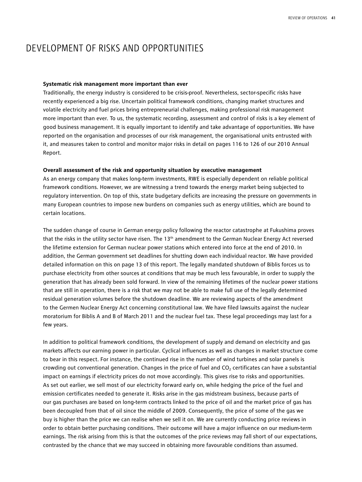## DEVELOPMENT OF RISKS AND OPPORTUNITIES

#### **Systematic risk management more important than ever**

Traditionally, the energy industry is considered to be crisis-proof. Nevertheless, sector-specific risks have recently experienced a big rise. Uncertain political framework conditions, changing market structures and volatile electricity and fuel prices bring entrepreneurial challenges, making professional risk management more important than ever. To us, the systematic recording, assessment and control of risks is a key element of good business management. It is equally important to identify and take advantage of opportunities. We have reported on the organisation and processes of our risk management, the organisational units entrusted with it, and measures taken to control and monitor major risks in detail on pages 116 to 126 of our 2010 Annual Report.

#### **Overall assessment of the risk and opportunity situation by executive management**

As an energy company that makes long-term investments, RWE is especially dependent on reliable political framework conditions. However, we are witnessing a trend towards the energy market being subjected to regulatory intervention. On top of this, state budgetary deficits are increasing the pressure on governments in many European countries to impose new burdens on companies such as energy utilities, which are bound to certain locations.

The sudden change of course in German energy policy following the reactor catastrophe at Fukushima proves that the risks in the utility sector have risen. The 13<sup>th</sup> amendment to the German Nuclear Energy Act reversed the lifetime extension for German nuclear power stations which entered into force at the end of 2010. In addition, the German government set deadlines for shutting down each individual reactor. We have provided detailed information on this on page 13 of this report. The legally mandated shutdown of Biblis forces us to purchase electricity from other sources at conditions that may be much less favourable, in order to supply the generation that has already been sold forward. In view of the remaining lifetimes of the nuclear power stations that are still in operation, there is a risk that we may not be able to make full use of the legally determined residual generation volumes before the shutdown deadline. We are reviewing aspects of the amendment to the Germen Nuclear Energy Act concerning constitutional law. We have filed lawsuits against the nuclear moratorium for Biblis A and B of March 2011 and the nuclear fuel tax. These legal proceedings may last for a few years.

In addition to political framework conditions, the development of supply and demand on electricity and gas markets affects our earning power in particular. Cyclical influences as well as changes in market structure come to bear in this respect. For instance, the continued rise in the number of wind turbines and solar panels is crowding out conventional generation. Changes in the price of fuel and CO<sub>2</sub> certificates can have a substantial impact on earnings if electricity prices do not move accordingly. This gives rise to risks and opportunities. As set out earlier, we sell most of our electricity forward early on, while hedging the price of the fuel and emission certificates needed to generate it. Risks arise in the gas midstream business, because parts of our gas purchases are based on long-term contracts linked to the price of oil and the market price of gas has been decoupled from that of oil since the middle of 2009. Consequently, the price of some of the gas we buy is higher than the price we can realise when we sell it on. We are currently conducting price reviews in order to obtain better purchasing conditions. Their outcome will have a major influence on our medium-term earnings. The risk arising from this is that the outcomes of the price reviews may fall short of our expectations, contrasted by the chance that we may succeed in obtaining more favourable conditions than assumed.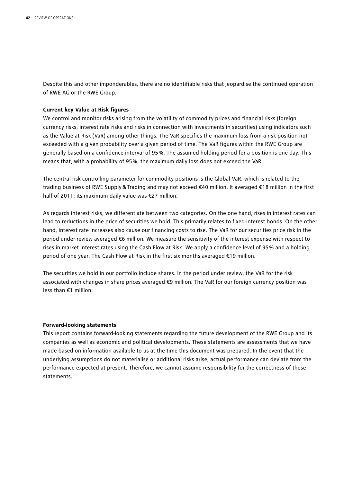Despite this and other imponderables, there are no identifiable risks that jeopardise the continued operation of RWE AG or the RWE Group.

#### **Current key Value at Risk figures**

We control and monitor risks arising from the volatility of commodity prices and financial risks (foreign currency risks, interest rate risks and risks in connection with investments in securities) using indicators such as the Value at Risk (VaR) among other things. The VaR specifies the maximum loss from a risk position not exceeded with a given probability over a given period of time. The VaR figures within the RWE Group are generally based on a confidence interval of 95 %. The assumed holding period for a position is one day. This means that, with a probability of 95 %, the maximum daily loss does not exceed the VaR.

The central risk controlling parameter for commodity positions is the Global VaR, which is related to the trading business of RWE Supply&Trading and may not exceed €40 million. It averaged €18 million in the first half of 2011; its maximum daily value was €27 million.

As regards interest risks, we differentiate between two categories. On the one hand, rises in interest rates can lead to reductions in the price of securities we hold. This primarily relates to fixed-interest bonds. On the other hand, interest rate increases also cause our financing costs to rise. The VaR for our securities price risk in the period under review averaged €6 million. We measure the sensitivity of the interest expense with respect to rises in market interest rates using the Cash Flow at Risk. We apply a confidence level of 95 % and a holding period of one year. The Cash Flow at Risk in the first six months averaged €19 million.

The securities we hold in our portfolio include shares. In the period under review, the VaR for the risk associated with changes in share prices averaged €9 million. The VaR for our foreign currency position was less than €1 million.

#### **Forward-looking statements**

This report contains forward-looking statements regarding the future development of the RWE Group and its companies as well as economic and political developments. These statements are assessments that we have made based on information available to us at the time this document was prepared. In the event that the underlying assumptions do not materialise or additional risks arise, actual performance can deviate from the performance expected at present. Therefore, we cannot assume responsibility for the correctness of these statements.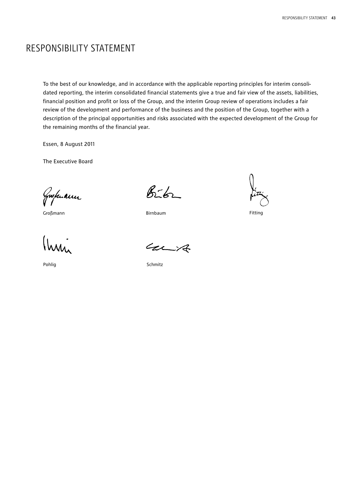## RESPONSIBILITY STATEMENT

To the best of our knowledge, and in accordance with the applicable reporting principles for interim consolidated reporting, the interim consolidated financial statements give a true and fair view of the assets, liabilities, financial position and profit or loss of the Group, and the interim Group review of operations includes a fair review of the development and performance of the business and the position of the Group, together with a description of the principal opportunities and risks associated with the expected development of the Group for the remaining months of the financial year.

Essen, 8 August 2011

The Executive Board

Gwhuann

Großmann Birnbaum Birnbaum

(hai

Pohlig

 $8 - 6 - 1$ 

Fitting

 $427$ 

Schmitz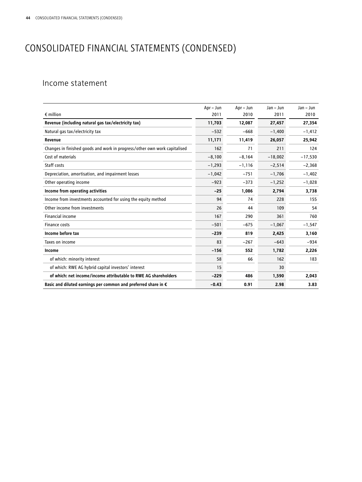## CONSOLIDATED FINANCIAL STATEMENTS (CONDENSED)

### Income statement

|                                                                           | Apr – Jun | Apr - Jun | $Jan - Jun$ | $Jan - Jun$ |
|---------------------------------------------------------------------------|-----------|-----------|-------------|-------------|
| $\epsilon$ million                                                        | 2011      | 2010      | 2011        | 2010        |
| Revenue (including natural gas tax/electricity tax)                       | 11.703    | 12,087    | 27,457      | 27,354      |
| Natural gas tax/electricity tax                                           | $-532$    | $-668$    | $-1,400$    | $-1,412$    |
| Revenue                                                                   | 11,171    | 11,419    | 26,057      | 25,942      |
| Changes in finished goods and work in progress/other own work capitalised | 162       | 71        | 211         | 124         |
| Cost of materials                                                         | $-8,100$  | $-8,164$  | $-18,002$   | $-17,530$   |
| Staff costs                                                               | $-1,293$  | $-1,116$  | $-2,514$    | $-2,368$    |
| Depreciation, amortisation, and impairment losses                         | $-1,042$  | $-751$    | $-1,706$    | $-1,402$    |
| Other operating income                                                    | $-923$    | $-373$    | $-1,252$    | $-1,028$    |
| Income from operating activities                                          | $-25$     | 1,086     | 2,794       | 3,738       |
| Income from investments accounted for using the equity method             | 94        | 74        | 228         | 155         |
| Other income from investments                                             | 26        | 44        | 109         | 54          |
| <b>Financial income</b>                                                   | 167       | 290       | 361         | 760         |
| Finance costs                                                             | $-501$    | $-675$    | $-1,067$    | $-1,547$    |
| Income before tax                                                         | $-239$    | 819       | 2,425       | 3,160       |
| Taxes on income                                                           | 83        | $-267$    | $-643$      | $-934$      |
| Income                                                                    | $-156$    | 552       | 1,782       | 2,226       |
| of which: minority interest                                               | 58        | 66        | 162         | 183         |
| of which: RWE AG hybrid capital investors' interest                       | 15        |           | 30          |             |
| of which: net income/income attributable to RWE AG shareholders           | $-229$    | 486       | 1,590       | 2,043       |
| Basic and diluted earnings per common and preferred share in $\epsilon$   | $-0.43$   | 0.91      | 2.98        | 3.83        |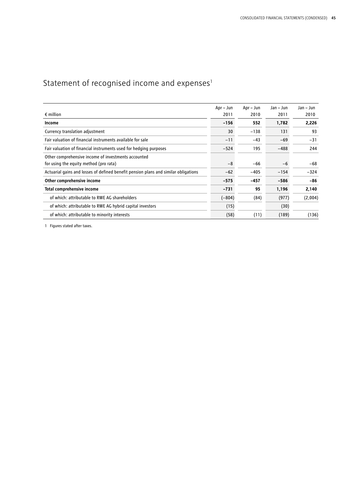## Statement of recognised income and  $expenses<sup>1</sup>$

|                                                                                     | Apr – Jun | Apr – Jun | Jan - Jun | Jan - Jun |
|-------------------------------------------------------------------------------------|-----------|-----------|-----------|-----------|
| $\epsilon$ million                                                                  | 2011      | 2010      | 2011      | 2010      |
| Income                                                                              | $-156$    | 552       | 1,782     | 2,226     |
| Currency translation adjustment                                                     | 30        | $-138$    | 131       | 93        |
| Fair valuation of financial instruments available for sale                          | $-11$     | $-43$     | $-69$     | $-31$     |
| Fair valuation of financial instruments used for hedging purposes                   | $-524$    | 195       | $-488$    | 244       |
| Other comprehensive income of investments accounted                                 |           |           |           |           |
| for using the equity method (pro rata)                                              | $-8$      | $-66$     | -6        | -68       |
| Actuarial gains and losses of defined benefit pension plans and similar obligations | $-62$     | $-405$    | $-154$    | $-324$    |
| Other comprehensive income                                                          | $-575$    | $-457$    | $-586$    | -86       |
| Total comprehensive income                                                          | $-731$    | 95        | 1,196     | 2,140     |
| of which: attributable to RWE AG shareholders                                       | $(-804)$  | (84)      | (977)     | (2,004)   |
| of which: attributable to RWE AG hybrid capital investors                           | (15)      |           | (30)      |           |
| of which: attributable to minority interests                                        | (58)      | (11)      | (189)     | (136)     |

1 Figures stated after taxes.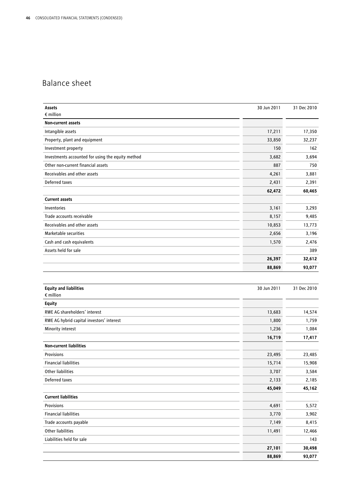## Balance sheet

| Assets                                            | 30 Jun 2011 | 31 Dec 2010 |
|---------------------------------------------------|-------------|-------------|
| $\epsilon$ million                                |             |             |
| Non-current assets                                |             |             |
| Intangible assets                                 | 17,211      | 17,350      |
| Property, plant and equipment                     | 33,850      | 32,237      |
| Investment property                               | 150         | 162         |
| Investments accounted for using the equity method | 3,682       | 3,694       |
| Other non-current financial assets                | 887         | 750         |
| Receivables and other assets                      | 4,261       | 3,881       |
| Deferred taxes                                    | 2,431       | 2,391       |
|                                                   | 62,472      | 60,465      |
| <b>Current assets</b>                             |             |             |
| Inventories                                       | 3,161       | 3,293       |
| Trade accounts receivable                         | 8,157       | 9,485       |
| Receivables and other assets                      | 10,853      | 13,773      |
| Marketable securities                             | 2,656       | 3,196       |
| Cash and cash equivalents                         | 1,570       | 2,476       |
| Assets held for sale                              |             | 389         |
|                                                   | 26,397      | 32,612      |
|                                                   | 88,869      | 93,077      |
|                                                   |             |             |
| <b>Equity and liabilities</b>                     | 30 Jun 2011 | 31 Dec 2010 |
| $\epsilon$ million                                |             |             |
| <b>Equity</b>                                     |             |             |
| RWE AG shareholders' interest                     | 13,683      | 14,574      |
| RWE AG hybrid capital investors' interest         | 1,800       | 1,759       |
| Minority interest                                 | 1,236       | 1,084       |
|                                                   | 16,719      | 17,417      |
| <b>Non-current liabilities</b>                    |             |             |
| Provisions                                        | 23,495      | 23,485      |
| <b>Financial liabilities</b>                      | 15,714      | 15,908      |
| Other liabilities                                 | 3,707       | 3,584       |
| Deferred taxes                                    | 2,133       | 2,185       |
|                                                   | 45,049      | 45,162      |
| <b>Current liabilities</b>                        |             |             |
| Provisions                                        | 4,691       | 5,572       |
| <b>Financial liabilities</b>                      | 3,770       | 3,902       |
| Trade accounts payable                            | 7,149       | 8,415       |
| Other liabilities                                 | 11,491      | 12,466      |
| Liabilities held for sale                         |             | 143         |
|                                                   | 27,101      | 30,498      |

**88,869 93,077**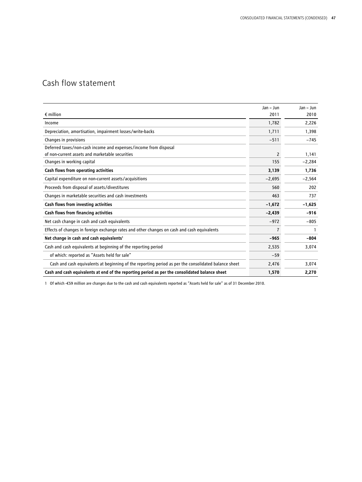## Cash flow statement

|                                                                                                      | Jan - Jun | $Jan - Jun$ |
|------------------------------------------------------------------------------------------------------|-----------|-------------|
| $\epsilon$ million                                                                                   | 2011      | 2010        |
| Income                                                                                               | 1,782     | 2,226       |
| Depreciation, amortisation, impairment losses/write-backs                                            | 1,711     | 1,398       |
| Changes in provisions                                                                                | $-511$    | $-745$      |
| Deferred taxes/non-cash income and expenses/income from disposal                                     |           |             |
| of non-current assets and marketable securities                                                      | 2         | 1,141       |
| Changes in working capital                                                                           | 155       | $-2,284$    |
| Cash flows from operating activities                                                                 | 3,139     | 1,736       |
| Capital expenditure on non-current assets/acquisitions                                               | $-2,695$  | $-2,564$    |
| Proceeds from disposal of assets/divestitures                                                        | 560       | 202         |
| Changes in marketable securities and cash investments                                                | 463       | 737         |
| Cash flows from investing activities                                                                 | $-1,672$  | $-1,625$    |
| Cash flows from financing activities                                                                 | $-2,439$  | $-916$      |
| Net cash change in cash and cash equivalents                                                         | $-972$    | $-805$      |
| Effects of changes in foreign exchange rates and other changes on cash and cash equivalents          | 7         | 1           |
| Net change in cash and cash equivalents <sup>1</sup>                                                 | $-965$    | -804        |
| Cash and cash equivalents at beginning of the reporting period                                       | 2,535     | 3,074       |
| of which: reported as "Assets held for sale"                                                         | $-59$     |             |
| Cash and cash equivalents at beginning of the reporting period as per the consolidated balance sheet | 2,476     | 3,074       |
| Cash and cash equivalents at end of the reporting period as per the consolidated balance sheet       | 1,570     | 2,270       |

1 Of which -€59 million are changes due to the cash and cash equivalents reported as "Assets held for sale" as of 31 December 2010.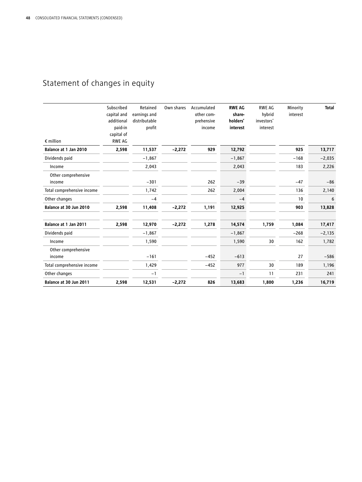## Statement of changes in equity

| $\epsilon$ million            | Subscribed<br>capital and<br>additional<br>paid-in<br>capital of<br><b>RWE AG</b> | Retained<br>earnings and<br>distributable<br>profit | Own shares | Accumulated<br>other com-<br>prehensive<br>income | <b>RWE AG</b><br>share-<br>holders'<br>interest | <b>RWE AG</b><br>hybrid<br>investors'<br>interest | Minority<br>interest | <b>Total</b> |
|-------------------------------|-----------------------------------------------------------------------------------|-----------------------------------------------------|------------|---------------------------------------------------|-------------------------------------------------|---------------------------------------------------|----------------------|--------------|
| Balance at 1 Jan 2010         | 2,598                                                                             | 11,537                                              | $-2,272$   | 929                                               | 12,792                                          |                                                   | 925                  | 13,717       |
| Dividends paid                |                                                                                   | $-1,867$                                            |            |                                                   | $-1,867$                                        |                                                   | $-168$               | $-2,035$     |
| Income                        |                                                                                   | 2,043                                               |            |                                                   | 2,043                                           |                                                   | 183                  | 2,226        |
| Other comprehensive<br>income |                                                                                   | $-301$                                              |            | 262                                               | $-39$                                           |                                                   | $-47$                | $-86$        |
| Total comprehensive income    |                                                                                   | 1,742                                               |            | 262                                               | 2,004                                           |                                                   | 136                  | 2,140        |
| Other changes                 |                                                                                   | $-4$                                                |            |                                                   | $-4$                                            |                                                   | 10                   | 6            |
| Balance at 30 Jun 2010        | 2,598                                                                             | 11,408                                              | $-2,272$   | 1,191                                             | 12,925                                          |                                                   | 903                  | 13,828       |
| Balance at 1 Jan 2011         | 2,598                                                                             | 12,970                                              | $-2,272$   | 1,278                                             | 14,574                                          | 1,759                                             | 1,084                | 17,417       |
| Dividends paid                |                                                                                   | $-1,867$                                            |            |                                                   | $-1,867$                                        |                                                   | $-268$               | $-2,135$     |
| Income                        |                                                                                   | 1,590                                               |            |                                                   | 1,590                                           | 30                                                | 162                  | 1,782        |
| Other comprehensive           |                                                                                   |                                                     |            |                                                   |                                                 |                                                   |                      |              |
| income                        |                                                                                   | $-161$                                              |            | $-452$                                            | $-613$                                          |                                                   | 27                   | $-586$       |
| Total comprehensive income    |                                                                                   | 1,429                                               |            | $-452$                                            | 977                                             | 30                                                | 189                  | 1,196        |
| Other changes                 |                                                                                   | $-1$                                                |            |                                                   | $-1$                                            | 11                                                | 231                  | 241          |
| Balance at 30 Jun 2011        | 2,598                                                                             | 12,531                                              | $-2,272$   | 826                                               | 13,683                                          | 1,800                                             | 1,236                | 16,719       |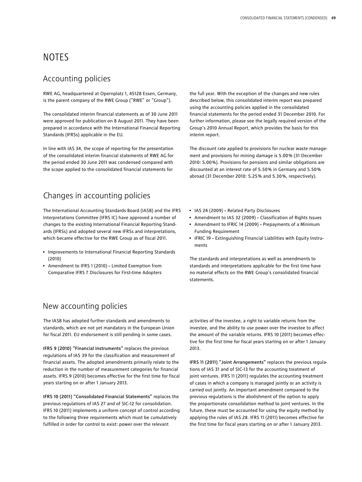## **NOTES**

### Accounting policies

RWE AG, headquartered at Opernplatz 1, 45128 Essen, Germany, is the parent company of the RWE Group ("RWE" or "Group").

The consolidated interim financial statements as of 30 June 2011 were approved for publication on 8 August 2011. They have been prepared in accordance with the International Financial Reporting Standards (IFRSs) applicable in the EU.

In line with IAS 34, the scope of reporting for the presentation of the consolidated interim financial statements of RWE AG for the period ended 30 June 2011 was condensed compared with the scope applied to the consolidated financial statements for

### Changes in accounting policies

The International Accounting Standards Board (IASB) and the IFRS Interpretations Committee (IFRS IC) have approved a number of changes to the existing International Financial Reporting Standards (IFRSs) and adopted several new IFRSs and interpretations, which became effective for the RWE Group as of fiscal 2011.

- Improvements to International Financial Reporting Standards (2010)
- Amendment to IFRS 1 (2010) Limited Exemption from Comparative IFRS 7 Disclosures for First-time Adopters

the full year. With the exception of the changes and new rules described below, this consolidated interim report was prepared using the accounting policies applied in the consolidated financial statements for the period ended 31 December 2010. For further information, please see the legally required version of the Group's 2010 Annual Report, which provides the basis for this interim report.

The discount rate applied to provisions for nuclear waste management and provisions for mining damage is 5.00 % (31 December 2010: 5.00 %). Provisions for pensions and similar obligations are discounted at an interest rate of 5.50 % in Germany and 5.50 % abroad (31 December 2010: 5.25 % and 5.30 %, respectively).

- IAS 24 (2009) Related Party Disclosures
- Amendment to IAS 32 (2009) Classification of Rights Issues
- Amendment to IFRIC 14 (2009) Prepayments of a Minimum Funding Requirement
- IFRIC 19 Extinguishing Financial Liabilities with Equity Instruments

The standards and interpretations as well as amendments to standards and interpretations applicable for the first time have no material effects on the RWE Group's consolidated financial statements.

### New accounting policies

The IASB has adopted further standards and amendments to standards, which are not yet mandatory in the European Union for fiscal 2011. EU endorsement is still pending in some cases.

IFRS 9 (2010) "Financial Instruments" replaces the previous regulations of IAS 39 for the classification and measurement of financial assets. The adopted amendments primarily relate to the reduction in the number of measurement categories for financial assets. IFRS 9 (2010) becomes effective for the first time for fiscal years starting on or after 1 January 2013.

IFRS 10 (2011) "Consolidated Financial Statements" replaces the previous regulations of IAS 27 and of SIC-12 for consolidation. IFRS 10 (2011) implements a uniform concept of control according to the following three requirements which must be cumulatively fulfilled in order for control to exist: power over the relevant

activities of the investee, a right to variable returns from the investee, and the ability to use power over the investee to affect the amount of the variable returns. IFRS 10 (2011) becomes effective for the first time for fiscal years starting on or after 1 January 2013.

IFRS 11 (2011) "Joint Arrangements" replaces the previous regulations of IAS 31 and of SIC-13 for the accounting treatment of joint ventures. IFRS 11 (2011) regulates the accounting treatment of cases in which a company is managed jointly or an activity is carried out jointly. An important amendment compared to the previous regulations is the abolishment of the option to apply the proportionate consolidation method to joint ventures. In the future, these must be accounted for using the equity method by applying the rules of IAS 28. IFRS 11 (2011) becomes effective for the first time for fiscal years starting on or after 1 January 2013.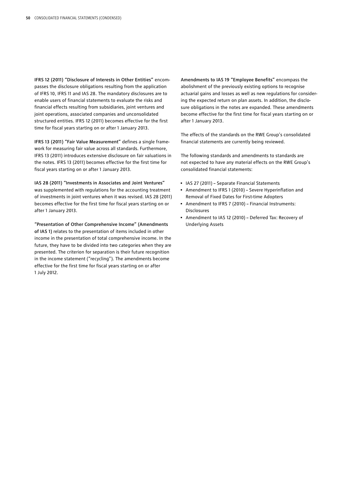IFRS 12 (2011) "Disclosure of Interests in Other Entities" encompasses the disclosure obligations resulting from the application of IFRS 10, IFRS 11 and IAS 28. The mandatory disclosures are to enable users of financial statements to evaluate the risks and financial effects resulting from subsidiaries, joint ventures and joint operations, associated companies and unconsolidated structured entities. IFRS 12 (2011) becomes effective for the first time for fiscal years starting on or after 1 January 2013.

IFRS 13 (2011) "Fair Value Measurement" defines a single framework for measuring fair value across all standards. Furthermore, IFRS 13 (2011) introduces extensive disclosure on fair valuations in the notes. IFRS 13 (2011) becomes effective for the first time for fiscal years starting on or after 1 January 2013.

IAS 28 (2011) "Investments in Associates and Joint Ventures" was supplemented with regulations for the accounting treatment of investments in joint ventures when it was revised. IAS 28 (2011) becomes effective for the first time for fiscal years starting on or after 1 January 2013.

"Presentation of Other Comprehensive Income" (Amendments of IAS 1) relates to the presentation of items included in other income in the presentation of total comprehensive income. In the future, they have to be divided into two categories when they are presented. The criterion for separation is their future recognition in the income statement ("recycling"). The amendments become effective for the first time for fiscal years starting on or after 1 July 2012.

Amendments to IAS 19 "Employee Benefits" encompass the abolishment of the previously existing options to recognise actuarial gains and losses as well as new regulations for considering the expected return on plan assets. In addition, the disclosure obligations in the notes are expanded. These amendments become effective for the first time for fiscal years starting on or after 1 January 2013.

The effects of the standards on the RWE Group's consolidated financial statements are currently being reviewed.

The following standards and amendments to standards are not expected to have any material effects on the RWE Group's consolidated financial statements:

- IAS 27 (2011) Separate Financial Statements
- Amendment to IFRS 1 (2010) Severe Hyperinflation and Removal of Fixed Dates for First-time Adopters
- Amendment to IFRS 7 (2010) Financial Instruments: Disclosures
- Amendment to IAS 12 (2010) Deferred Tax: Recovery of Underlying Assets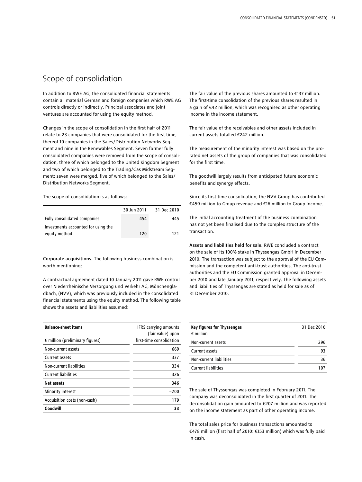### Scope of consolidation

In addition to RWE AG, the consolidated financial statements contain all material German and foreign companies which RWE AG controls directly or indirectly. Principal associates and joint ventures are accounted for using the equity method.

Changes in the scope of consolidation in the first half of 2011 relate to 23 companies that were consolidated for the first time, thereof 10 companies in the Sales/Distribution Networks Segment and nine in the Renewables Segment. Seven former fully consolidated companies were removed from the scope of consolidation, three of which belonged to the United Kingdom Segment and two of which belonged to the Trading/Gas Midstream Segment; seven were merged, five of which belonged to the Sales/ Distribution Networks Segment.

The scope of consolidation is as follows:

|                                     | 30 Jun 2011 | 31 Dec 2010 |
|-------------------------------------|-------------|-------------|
| Fully consolidated companies        | 454         | 445         |
| Investments accounted for using the |             |             |
| equity method                       | 120         | 171         |

Corporate acquisitions. The following business combination is worth mentioning:

A contractual agreement dated 10 January 2011 gave RWE control over Niederrheinische Versorgung und Verkehr AG, Mönchengladbach, (NVV), which was previously included in the consolidated financial statements using the equity method. The following table shows the assets and liabilities assumed:

| <b>Balance-sheet items</b>               | <b>IFRS carrying amounts</b> |
|------------------------------------------|------------------------------|
|                                          | (fair value) upon            |
| $\epsilon$ million (preliminary figures) | first-time consolidation     |
| Non-current assets                       | 669                          |
| Current assets                           | 337                          |
| Non-current liabilities                  | 334                          |
| <b>Current liabilities</b>               | 326                          |
| Net assets                               | 346                          |
| Minority interest                        | $-200$                       |
| Acquisition costs (non-cash)             | 179                          |
| Goodwill                                 | 33                           |

The fair value of the previous shares amounted to €137 million. The first-time consolidation of the previous shares resulted in a gain of €42 million, which was recognised as other operating income in the income statement.

The fair value of the receivables and other assets included in current assets totalled €242 million.

The measurement of the minority interest was based on the prorated net assets of the group of companies that was consolidated for the first time.

The goodwill largely results from anticipated future economic benefits and synergy effects.

Since its first-time consolidation, the NVV Group has contributed €459 million to Group revenue and €16 million to Group income.

The initial accounting treatment of the business combination has not yet been finalised due to the complex structure of the transaction.

Assets and liabilities held for sale. RWE concluded a contract on the sale of its 100% stake in Thyssengas GmbH in December 2010. The transaction was subject to the approval of the EU Commission and the competent anti-trust authorities. The anti-trust authorities and the EU Commission granted approval in December 2010 and late January 2011, respectively. The following assets and liabilities of Thyssengas are stated as held for sale as of 31 December 2010.

| Key figures for Thyssengas<br>$\epsilon$ million | 31 Dec 2010 |
|--------------------------------------------------|-------------|
| Non-current assets                               | 296         |
| Current assets                                   | 93          |
| Non-current liabilities                          | 36          |
| <b>Current liabilities</b>                       |             |

The sale of Thyssengas was completed in February 2011. The company was deconsolidated in the first quarter of 2011. The deconsolidation gain amounted to €207 million and was reported on the income statement as part of other operating income.

The total sales price for business transactions amounted to €478 million (first half of 2010: €153 million) which was fully paid in cash.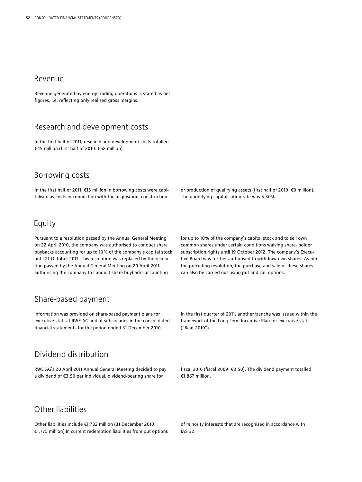### Revenue

Revenue generated by energy trading operations is stated as net figures, i.e. reflecting only realised gross margins.

### Research and development costs

In the first half of 2011, research and development costs totalled €45 million (first half of 2010: €58 million).

### Borrowing costs

In the first half of 2011, €15 million in borrowing costs were capitalised as costs in connection with the acquisition, construction

### Equity

Pursuant to a resolution passed by the Annual General Meeting on 22 April 2010, the company was authorised to conduct share buybacks accounting for up to 10 % of the company's capital stock until 21 October 2011. This resolution was replaced by the resolution passed by the Annual General Meeting on 20 April 2011, authorising the company to conduct share buybacks accounting

for up to 10 % of the company's capital stock and to sell own common shares under certain conditions waiving share- holder subscription rights until 19 October 2012. The company's Executive Board was further authorised to withdraw own shares. As per the preceding resolution, the purchase and sale of these shares

or production of qualifying assets (first half of 2010: €0 million).

The underlying capitalisation rate was 5.30%.

can also be carried out using put and call options.

## Share-based payment

Information was provided on share-based payment plans for executive staff at RWE AG and at subsidiaries in the consolidated financial statements for the period ended 31 December 2010.

## Dividend distribution

RWE AG's 20 April 2011 Annual General Meeting decided to pay a dividend of €3.50 per individual, dividend-bearing share for

In the first quarter of 2011, another tranche was issued within the framework of the Long-Term Incentive Plan for executive staff ("Beat 2010").

fiscal 2010 (fiscal 2009: €3.50). The dividend payment totalled €1,867 million.

## Other liabilities

Other liabilities include €1,782 million (31 December 2010: €1,775 million) in current redemption liabilities from put options of minority interests that are recognised in accordance with IAS 32.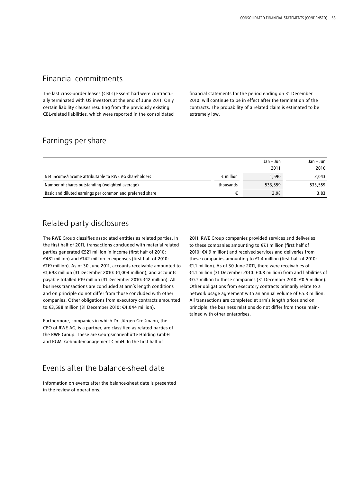### Financial commitments

The last cross-border leases (CBLs) Essent had were contractually terminated with US investors at the end of June 2011. Only certain liability clauses resulting from the previously existing CBL-related liabilities, which were reported in the consolidated financial statements for the period ending on 31 December 2010, will continue to be in effect after the termination of the contracts. The probability of a related claim is estimated to be extremely low.

### Earnings per share

|                                                           |                    | Jan – Jun | Jan – Jun |
|-----------------------------------------------------------|--------------------|-----------|-----------|
|                                                           |                    | 2011      | 2010      |
| Net income/income attributable to RWE AG shareholders     | $\epsilon$ million | 1.590     | 2.043     |
| Number of shares outstanding (weighted average)           | thousands          | 533.559   | 533.559   |
| Basic and diluted earnings per common and preferred share |                    | 2.98      | 3.83      |

### Related party disclosures

The RWE Group classifies associated entities as related parties. In the first half of 2011, transactions concluded with material related parties generated €521 million in income (first half of 2010: €481 million) and €142 million in expenses (first half of 2010: €119 million). As of 30 June 2011, accounts receivable amounted to €1,698 million (31 December 2010: €1,004 million), and accounts payable totalled €19 million (31 December 2010: €12 million). All business transactions are concluded at arm's length conditions and on principle do not differ from those concluded with other companies. Other obligations from executory contracts amounted to €3,588 million (31 December 2010: €4,044 million).

Furthermore, companies in which Dr. Jürgen Großmann, the CEO of RWE AG, is a partner, are classified as related parties of the RWE Group. These are Georgsmarienhütte Holding GmbH and RGM Gebäudemanagement GmbH. In the first half of

### Events after the balance-sheet date

Information on events after the balance-sheet date is presented in the review of operations.

2011, RWE Group companies provided services and deliveries to these companies amounting to €7.1 million (first half of 2010: €4.9 million) and received services and deliveries from these companies amounting to €1.4 million (first half of 2010: €1.1 million). As of 30 June 2011, there were receivables of €1.1 million (31 December 2010: €0.8 million) from and liabilities of €0.7 million to these companies (31 December 2010: €0.5 million). Other obligations from executory contracts primarily relate to a network usage agreement with an annual volume of €5.3 million. All transactions are completed at arm's length prices and on principle, the business relations do not differ from those maintained with other enterprises.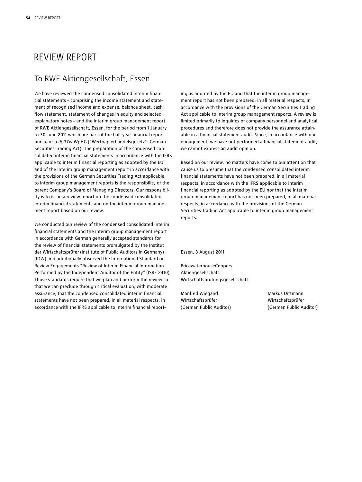## Review Report

### To RWE Aktiengesellschaft, Essen

We have reviewed the condensed consolidated interim financial statements – comprising the income statement and statement of recognised income and expense, balance sheet, cash flow statement, statement of changes in equity and selected explanatory notes – and the interim group management report of RWE Aktiengesellschaft, Essen, for the period from 1 January to 30 June 2011 which are part of the half-year financial report pursuant to § 37w WpHG ("Wertpapierhandelsgesetz": German Securities Trading Act). The preparation of the condensed consolidated interim financial statements in accordance with the IFRS applicable to interim financial reporting as adopted by the EU and of the interim group management report in accordance with the provisions of the German Securities Trading Act applicable to interim group management reports is the responsibility of the parent Company's Board of Managing Directors. Our responsibility is to issue a review report on the condensed consolidated interim financial statements and on the interim group management report based on our review.

We conducted our review of the condensed consolidated interim financial statements and the interim group management report in accordance with German generally accepted standards for the review of financial statements promulgated by the Institut der Wirtschaftsprüfer (Institute of Public Auditors in Germany) (IDW) and additionally observed the International Standard on Review Engagements "Review of Interim Financial Information Performed by the Independent Auditor of the Entity" (ISRE 2410). Those standards require that we plan and perform the review so that we can preclude through critical evaluation, with moderate assurance, that the condensed consolidated interim financial statements have not been prepared, in all material respects, in accordance with the IFRS applicable to interim financial reporting as adopted by the EU and that the interim group management report has not been prepared, in all material respects, in accordance with the provisions of the German Securities Trading Act applicable to interim group management reports. A review is limited primarily to inquiries of company personnel and analytical procedures and therefore does not provide the assurance attainable in a financial statement audit. Since, in accordance with our engagement, we have not performed a financial statement audit, we cannot express an audit opinion.

Based on our review, no matters have come to our attention that cause us to presume that the condensed consolidated interim financial statements have not been prepared, in all material respects, in accordance with the IFRS applicable to interim financial reporting as adopted by the EU nor that the interim group management report has not been prepared, in all material respects, in accordance with the provisions of the German Securities Trading Act applicable to interim group management reports.

Essen, 8 August 2011

PricewaterhouseCoopers Aktiengesellschaft Wirtschaftsprüfungsgesellschaft

Manfred Wiegand Markus Dittmann Wirtschaftsprüfer Wirtschaftsprüfer

(German Public Auditor) (German Public Auditor)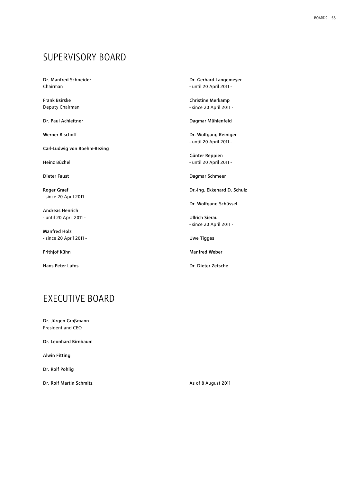## Supervisory Board

Dr. Manfred Schneider Chairman

Frank Bsirske Deputy Chairman

Dr. Paul Achleitner

Werner Bischoff

Carl-Ludwig von Boehm-Bezing

Heinz Büchel

Dieter Faust

Roger Graef - since 20 April 2011 -

Andreas Henrich - until 20 April 2011 -

Manfred Holz - since 20 April 2011 -

Frithjof Kühn

Hans Peter Lafos

Dr. Gerhard Langemeyer - until 20 April 2011 -

Christine Merkamp - since 20 April 2011 -

Dagmar Mühlenfeld

Dr. Wolfgang Reiniger - until 20 April 2011 -

Günter Reppien - until 20 April 2011 -

Dagmar Schmeer

Dr.-Ing. Ekkehard D. Schulz

Dr. Wolfgang Schüssel

Ullrich Sierau - since 20 April 2011 -

Uwe Tigges

Manfred Weber

Dr. Dieter Zetsche

## **EXECUTIVE BOARD**

Dr. Jürgen Großmann President and CEO

Dr. Leonhard Birnbaum

Alwin Fitting

Dr. Rolf Pohlig

Dr. Rolf Martin Schmitz

As of 8 August 2011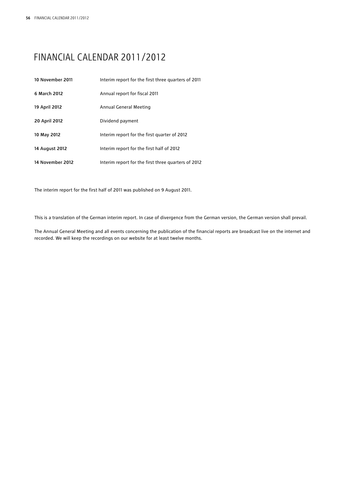## Financial Calendar 2011/2012

| 10 November 2011 | Interim report for the first three quarters of 2011 |
|------------------|-----------------------------------------------------|
| 6 March 2012     | Annual report for fiscal 2011                       |
| 19 April 2012    | Annual General Meeting                              |
| 20 April 2012    | Dividend payment                                    |
| 10 May 2012      | Interim report for the first quarter of 2012        |
| 14 August 2012   | Interim report for the first half of 2012           |
| 14 November 2012 | Interim report for the first three quarters of 2012 |

The interim report for the first half of 2011 was published on 9 August 2011.

This is a translation of the German interim report. In case of divergence from the German version, the German version shall prevail.

The Annual General Meeting and all events concerning the publication of the financial reports are broadcast live on the internet and recorded. We will keep the recordings on our website for at least twelve months.